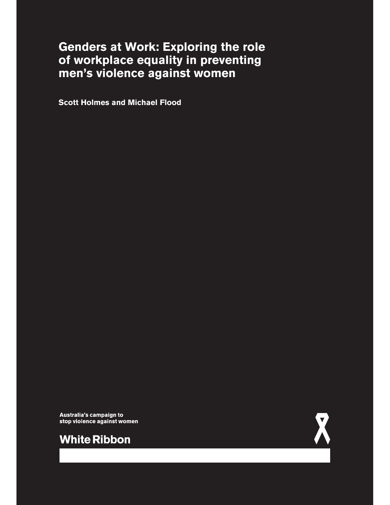# **Genders at Work: Exploring the role of workplace equality in preventing men's violence against women**

**Scott Holmes and Michael Flood**

Australia's campaign to stop violence against women



**White Ribbon**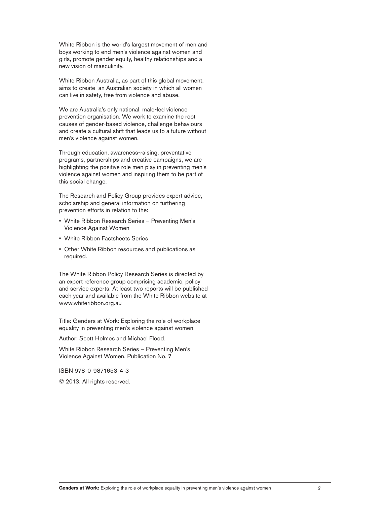White Ribbon is the world's largest movement of men and boys working to end men's violence against women and girls, promote gender equity, healthy relationships and a new vision of masculinity.

White Ribbon Australia, as part of this global movement, aims to create an Australian society in which all women can live in safety, free from violence and abuse.

We are Australia's only national, male-led violence prevention organisation. We work to examine the root causes of gender-based violence, challenge behaviours and create a cultural shift that leads us to a future without men's violence against women.

Through education, awareness-raising, preventative programs, partnerships and creative campaigns, we are highlighting the positive role men play in preventing men's violence against women and inspiring them to be part of this social change.

The Research and Policy Group provides expert advice, scholarship and general information on furthering prevention efforts in relation to the:

- White Ribbon Research Series Preventing Men's Violence Against Women
- White Ribbon Factsheets Series
- Other White Ribbon resources and publications as required.

The White Ribbon Policy Research Series is directed by an expert reference group comprising academic, policy and service experts. At least two reports will be published each year and available from the White Ribbon website at www.whiteribbon.org.au

Title: Genders at Work: Exploring the role of workplace equality in preventing men's violence against women.

Author: Scott Holmes and Michael Flood.

White Ribbon Research Series - Preventing Men's Violence Against Women, Publication No. 7

ISBN 978-0-9871653-4-3

 $©$  2013. All rights reserved.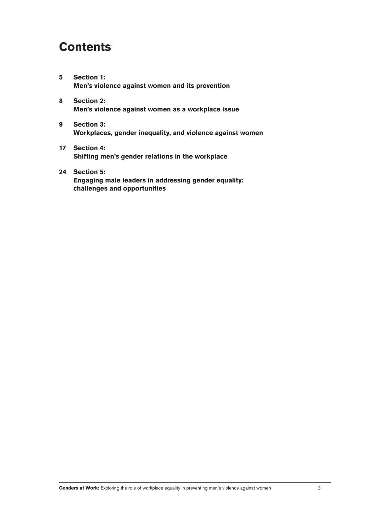# **Contents**

- **5 Section 1: Men's violence against women and its prevention**
- **8 Section 2: Men's violence against women as a workplace issue**
- **9 Section 3: Workplaces, gender inequality, and violence against women**
- **17 Section 4: Shifting men's gender relations in the workplace**
- **24 Section 5: Engaging male leaders in addressing gender equality: challenges and opportunities**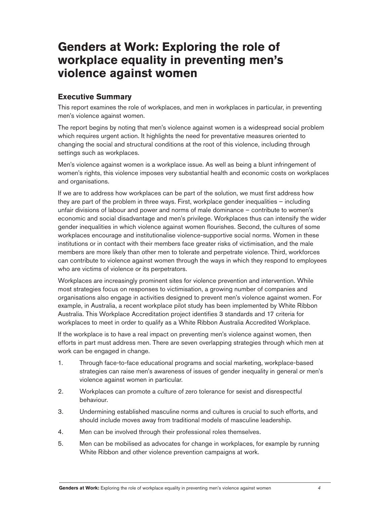# **Genders at Work: Exploring the role of workplace equality in preventing men's violence against women**

# **Executive Summary**

This report examines the role of workplaces, and men in workplaces in particular, in preventing men's violence against women.

The report begins by noting that men's violence against women is a widespread social problem which requires urgent action. It highlights the need for preventative measures oriented to changing the social and structural conditions at the root of this violence, including through settings such as workplaces.

Men's violence against women is a workplace issue. As well as being a blunt infringement of women's rights, this violence imposes very substantial health and economic costs on workplaces and organisations.

If we are to address how workplaces can be part of the solution, we must first address how they are part of the problem in three ways. First, workplace gender inequalities  $-$  including unfair divisions of labour and power and norms of male dominance - contribute to women's economic and social disadvantage and men's privilege. Workplaces thus can intensify the wider gender inequalities in which violence against women flourishes. Second, the cultures of some workplaces encourage and institutionalise violence-supportive social norms. Women in these institutions or in contact with their members face greater risks of victimisation, and the male members are more likely than other men to tolerate and perpetrate violence. Third, workforces can contribute to violence against women through the ways in which they respond to employees who are victims of violence or its perpetrators.

Workplaces are increasingly prominent sites for violence prevention and intervention. While most strategies focus on responses to victimisation, a growing number of companies and organisations also engage in activities designed to prevent men's violence against women. For example, in Australia, a recent workplace pilot study has been implemented by White Ribbon Australia. This Workplace Accreditation project identifies 3 standards and 17 criteria for workplaces to meet in order to qualify as a White Ribbon Australia Accredited Workplace.

If the workplace is to have a real impact on preventing men's violence against women, then efforts in part must address men. There are seven overlapping strategies through which men at work can be engaged in change.

- 1. Through face-to-face educational programs and social marketing, workplace-based strategies can raise men's awareness of issues of gender inequality in general or men's violence against women in particular.
- 2. Workplaces can promote a culture of zero tolerance for sexist and disrespectful behaviour.
- 3. Undermining established masculine norms and cultures is crucial to such efforts, and should include moves away from traditional models of masculine leadership.
- 4. Men can be involved through their professional roles themselves.
- 5. Men can be mobilised as advocates for change in workplaces, for example by running White Ribbon and other violence prevention campaigns at work.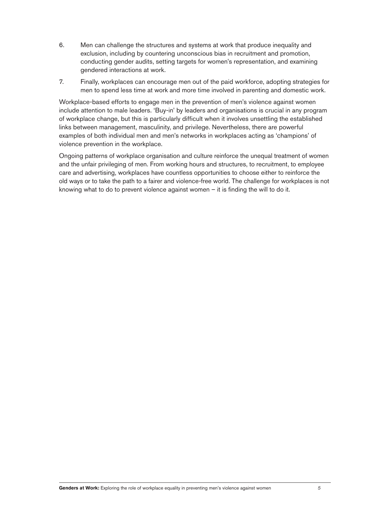- 6. Men can challenge the structures and systems at work that produce inequality and exclusion, including by countering unconscious bias in recruitment and promotion, conducting gender audits, setting targets for women's representation, and examining gendered interactions at work.
- 7. Finally, workplaces can encourage men out of the paid workforce, adopting strategies for men to spend less time at work and more time involved in parenting and domestic work.

Workplace-based efforts to engage men in the prevention of men's violence against women include attention to male leaders. 'Buy-in' by leaders and organisations is crucial in any program of workplace change, but this is particularly difficult when it involves unsettling the established links between management, masculinity, and privilege. Nevertheless, there are powerful examples of both individual men and men's networks in workplaces acting as 'champions' of violence prevention in the workplace.

Ongoing patterns of workplace organisation and culture reinforce the unequal treatment of women and the unfair privileging of men. From working hours and structures, to recruitment, to employee care and advertising, workplaces have countless opportunities to choose either to reinforce the old ways or to take the path to a fairer and violence-free world. The challenge for workplaces is not knowing what to do to prevent violence against women  $-$  it is finding the will to do it.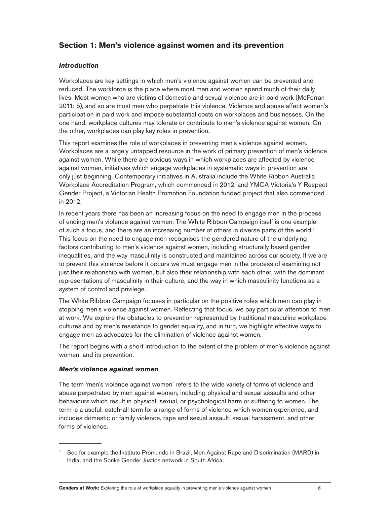# **Section 1: Men's violence against women and its prevention**

## *Introduction*

Workplaces are key settings in which men's violence against women can be prevented and reduced. The workforce is the place where most men and women spend much of their daily lives. Most women who are victims of domestic and sexual violence are in paid work (McFerran 2011: 5), and so are most men who perpetrate this violence. Violence and abuse affect women's participation in paid work and impose substantial costs on workplaces and businesses. On the one hand, workplace cultures may tolerate or contribute to men's violence against women. On the other, workplaces can play key roles in prevention.

This report examines the role of workplaces in preventing men's violence against women. Workplaces are a largely untapped resource in the work of primary prevention of men's violence against women. While there are obvious ways in which workplaces are affected by violence against women, initiatives which engage workplaces in systematic ways in prevention are only just beginning. Contemporary initiatives in Australia include the White Ribbon Australia Workplace Accreditation Program, which commenced in 2012, and YMCA Victoria's Y Respect Gender Project, a Victorian Health Promotion Foundation funded project that also commenced in 2012.

In recent years there has been an increasing focus on the need to engage men in the process of ending men's violence against women. The White Ribbon Campaign itself is one example of such a focus, and there are an increasing number of others in diverse parts of the world. This focus on the need to engage men recognises the gendered nature of the underlying factors contributing to men's violence against women, including structurally based gender inequalities, and the way masculinity is constructed and maintained across our society. If we are to prevent this violence before it occurs we must engage men in the process of examining not just their relationship with women, but also their relationship with each other, with the dominant representations of masculinity in their culture, and the way in which masculinity functions as a system of control and privilege.

The White Ribbon Campaign focuses in particular on the positive roles which men can play in stopping men's violence against women. Reflecting that focus, we pay particular attention to men at work. We explore the obstacles to prevention represented by traditional masculine workplace cultures and by men's resistance to gender equality, and in turn, we highlight effective ways to engage men as advocates for the elimination of violence against women.

The report begins with a short introduction to the extent of the problem of men's violence against women, and its prevention.

## *Men's violence against women*

The term 'men's violence against women' refers to the wide variety of forms of violence and abuse perpetrated by men against women, including physical and sexual assaults and other behaviours which result in physical, sexual, or psychological harm or suffering to women. The term is a useful, catch-all term for a range of forms of violence which women experience, and includes domestic or family violence, rape and sexual assault, sexual harassment, and other forms of violence.

 $^1$  See for example the Instituto Promundo in Brazil, Men Against Rape and Discrimination (MARD) in India, and the Sonke Gender Justice network in South Africa.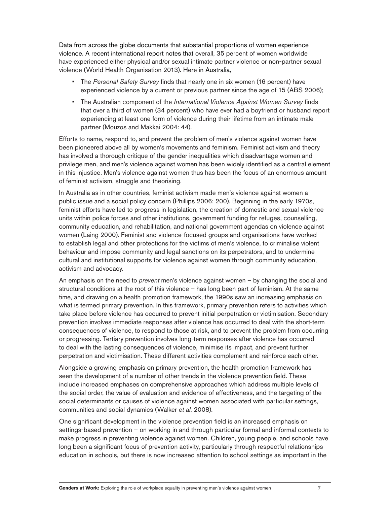Data from across the globe documents that substantial proportions of women experience violence. A recent international report notes that overall, 35 percent of women worldwide have experienced either physical and/or sexual intimate partner violence or non-partner sexual violence (World Health Organisation 2013). Here in Australia,

- The *Personal Safety Survey* finds that nearly one in six women (16 percent) have experienced violence by a current or previous partner since the age of 15 (ABS 2006);
- <sup>•</sup> The Australian component of the *International Violence Against Women Survey* finds that over a third of women (34 percent) who have ever had a boyfriend or husband report experiencing at least one form of violence during their lifetime from an intimate male partner (Mouzos and Makkai 2004: 44).

Efforts to name, respond to, and prevent the problem of men's violence against women have been pioneered above all by women's movements and feminism. Feminist activism and theory has involved a thorough critique of the gender inequalities which disadvantage women and privilege men, and men's violence against women has been widely identified as a central element in this injustice. Men's violence against women thus has been the focus of an enormous amount of feminist activism, struggle and theorising.

In Australia as in other countries, feminist activism made men's violence against women a public issue and a social policy concern (Phillips 2006: 200). Beginning in the early 1970s, feminist efforts have led to progress in legislation, the creation of domestic and sexual violence units within police forces and other institutions, government funding for refuges, counselling, community education, and rehabilitation, and national government agendas on violence against women (Laing 2000). Feminist and violence-focused groups and organisations have worked to establish legal and other protections for the victims of men's violence, to criminalise violent behaviour and impose community and legal sanctions on its perpetrators, and to undermine cultural and institutional supports for violence against women through community education, activism and advocacy.

An emphasis on the need to *prevent* men's violence against women – by changing the social and structural conditions at the root of this violence  $-$  has long been part of feminism. At the same time, and drawing on a health promotion framework, the 1990s saw an increasing emphasis on what is termed primary prevention. In this framework, primary prevention refers to activities which take place before violence has occurred to prevent initial perpetration or victimisation. Secondary prevention involves immediate responses after violence has occurred to deal with the short-term consequences of violence, to respond to those at risk, and to prevent the problem from occurring or progressing. Tertiary prevention involves long-term responses after violence has occurred to deal with the lasting consequences of violence, minimise its impact, and prevent further perpetration and victimisation. These different activities complement and reinforce each other.

Alongside a growing emphasis on primary prevention, the health promotion framework has seen the development of a number of other trends in the violence prevention field. These include increased emphases on comprehensive approaches which address multiple levels of the social order, the value of evaluation and evidence of effectiveness, and the targeting of the social determinants or causes of violence against women associated with particular settings, communities and social dynamics (Walker *et al.* 2008).

One significant development in the violence prevention field is an increased emphasis on settings-based prevention – on working in and through particular formal and informal contexts to make progress in preventing violence against women. Children, young people, and schools have long been a significant focus of prevention activity, particularly through respectful relationships education in schools, but there is now increased attention to school settings as important in the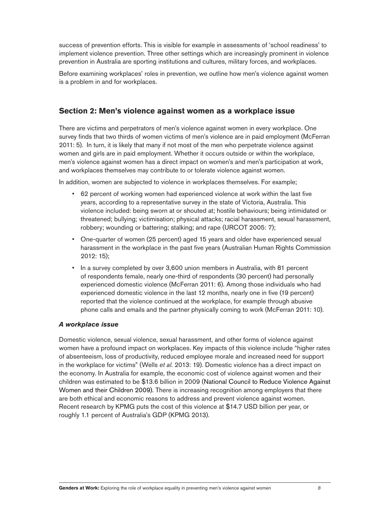success of prevention efforts. This is visible for example in assessments of 'school readiness' to implement violence prevention. Three other settings which are increasingly prominent in violence prevention in Australia are sporting institutions and cultures, military forces, and workplaces.

Before examining workplaces' roles in prevention, we outline how men's violence against women is a problem in and for workplaces.

## **Section 2: Men's violence against women as a workplace issue**

There are victims and perpetrators of men's violence against women in every workplace. One survey finds that two thirds of women victims of men's violence are in paid employment (McFerran 2011: 5). In turn, it is likely that many if not most of the men who perpetrate violence against women and girls are in paid employment. Whether it occurs outside or within the workplace, men's violence against women has a direct impact on women's and men's participation at work, and workplaces themselves may contribute to or tolerate violence against women.

In addition, women are subjected to violence in workplaces themselves. For example:

- 62 percent of working women had experienced violence at work within the last five years, according to a representative survey in the state of Victoria, Australia. This violence included: being sworn at or shouted at; hostile behaviours; being intimidated or threatened; bullying; victimisation; physical attacks; racial harassment, sexual harassment, robbery; wounding or battering; stalking; and rape (URCOT 2005: 7);
- One-quarter of women (25 percent) aged 15 years and older have experienced sexual harassment in the workplace in the past five years (Australian Human Rights Commission 2012: 15);
- In a survey completed by over 3,600 union members in Australia, with 81 percent of respondents female, nearly one-third of respondents (30 percent) had personally experienced domestic violence (McFerran 2011: 6). Among those individuals who had experienced domestic violence in the last 12 months, nearly one in five (19 percent) reported that the violence continued at the workplace, for example through abusive phone calls and emails and the partner physically coming to work (McFerran 2011: 10).

## *A workplace issue*

Domestic violence, sexual violence, sexual harassment, and other forms of violence against women have a profound impact on workplaces. Key impacts of this violence include "higher rates of absenteeism, loss of productivity, reduced employee morale and increased need for support in the workplace for victims" (Wells *et al.* 2013: 19). Domestic violence has a direct impact on the economy. In Australia for example, the economic cost of violence against women and their children was estimated to be \$13.6 billion in 2009 (National Council to Reduce Violence Against Women and their Children 2009). There is increasing recognition among employers that there are both ethical and economic reasons to address and prevent violence against women. Recent research by KPMG puts the cost of this violence at \$14.7 USD billion per year, or roughly 1.1 percent of Australia's GDP (KPMG 2013).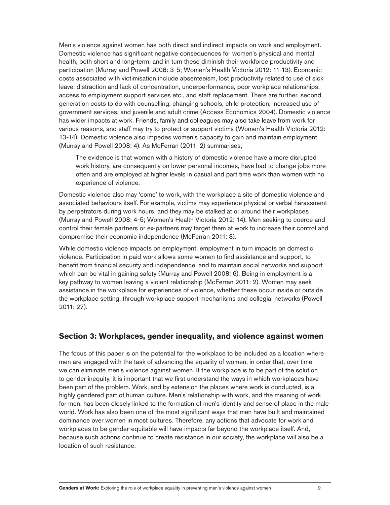Men's violence against women has both direct and indirect impacts on work and employment. Domestic violence has significant negative consequences for women's physical and mental health, both short and long-term, and in turn these diminish their workforce productivity and participation (Murray and Powell 2008: 3-5; Women's Health Victoria 2012: 11-13). Economic costs associated with victimisation include absenteeism, lost productivity related to use of sick leave, distraction and lack of concentration, underperformance, poor workplace relationships, access to employment support services etc., and staff replacement. There are further, second generation costs to do with counselling, changing schools, child protection, increased use of government services, and juvenile and adult crime (Access Economics 2004). Domestic violence has wider impacts at work. Friends, family and colleagues may also take leave from work for various reasons, and staff may try to protect or support victims (Women's Health Victoria 2012: 13-14). Domestic violence also impedes women's capacity to gain and maintain employment (Murray and Powell 2008: 4). As McFerran (2011: 2) summarises,

The evidence is that women with a history of domestic violence have a more disrupted work history, are consequently on lower personal incomes, have had to change jobs more often and are employed at higher levels in casual and part time work than women with no experience of violence.

Domestic violence also may 'come' to work, with the workplace a site of domestic violence and associated behaviours itself. For example, victims may experience physical or verbal harassment by perpetrators during work hours, and they may be stalked at or around their workplaces (Murray and Powell 2008: 4-5; Women's Health Victoria 2012: 14). Men seeking to coerce and control their female partners or ex-partners may target them at work to increase their control and compromise their economic independence (McFerran 2011: 3).

While domestic violence impacts on employment, employment in turn impacts on domestic violence. Participation in paid work allows some women to find assistance and support, to benefit from financial security and independence, and to maintain social networks and support which can be vital in gaining safety (Murray and Powell 2008: 6). Being in employment is a key pathway to women leaving a violent relationship (McFerran 2011: 2). Women may seek assistance in the workplace for experiences of violence, whether these occur inside or outside the workplace setting, through workplace support mechanisms and collegial networks (Powell 2011: 27).

## **Section 3: Workplaces, gender inequality, and violence against women**

The focus of this paper is on the potential for the workplace to be included as a location where men are engaged with the task of advancing the equality of women, in order that, over time, we can eliminate men's violence against women. If the workplace is to be part of the solution to gender inequity, it is important that we first understand the ways in which workplaces have been part of the problem. Work, and by extension the places where work is conducted, is a highly gendered part of human culture. Men's relationship with work, and the meaning of work for men, has been closely linked to the formation of men's identity and sense of place in the male world. Work has also been one of the most significant ways that men have built and maintained dominance over women in most cultures. Therefore, any actions that advocate for work and workplaces to be gender-equitable will have impacts far beyond the workplace itself. And, because such actions continue to create resistance in our society, the workplace will also be a location of such resistance.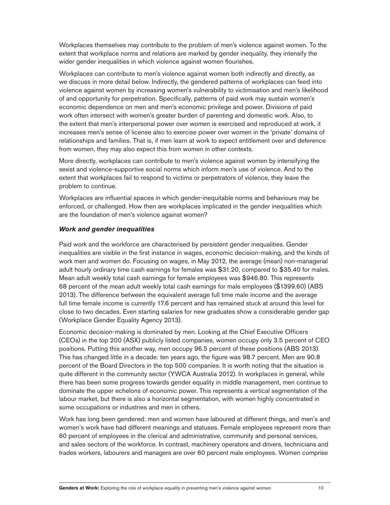Workplaces themselves may contribute to the problem of men's violence against women. To the extent that workplace norms and relations are marked by gender inequality, they intensify the wider gender inequalities in which violence against women flourishes.

Workplaces can contribute to men's violence against women both indirectly and directly, as we discuss in more detail below. Indirectly, the gendered patterns of workplaces can feed into violence against women by increasing women's vulnerability to victimisation and men's likelihood of and opportunity for perpetration. Specifically, patterns of paid work may sustain women's economic dependence on men and men's economic privilege and power. Divisions of paid work often intersect with women's greater burden of parenting and domestic work. Also, to the extent that men's interpersonal power over women is exercised and reproduced at work, it increases men's sense of license also to exercise power over women in the 'private' domains of relationships and families. That is, if men learn at work to expect entitlement over and deference from women, they may also expect this from women in other contexts.

More directly, workplaces can contribute to men's violence against women by intensifying the sexist and violence-supportive social norms which inform men's use of violence. And to the extent that workplaces fail to respond to victims or perpetrators of violence, they leave the problem to continue.

Workplaces are influential spaces in which gender-inequitable norms and behaviours may be enforced, or challenged. How then are workplaces implicated in the gender inequalities which are the foundation of men's violence against women?

## *Work and gender inequalities*

Paid work and the workforce are characterised by persistent gender inequalities. Gender inequalities are visible in the first instance in wages, economic decision-making, and the kinds of work men and women do. Focusing on wages, in May 2012, the average (mean) non-managerial adult hourly ordinary time cash earnings for females was \$31.20, compared to \$35.40 for males. Mean adult weekly total cash earnings for female employees was \$946.80. This represents 68 percent of the mean adult weekly total cash earnings for male employees (\$1399.60) (ABS 2013). The difference between the equivalent average full time male income and the average full time female income is currently 17.6 percent and has remained stuck at around this level for close to two decades. Even starting salaries for new graduates show a considerable gender gap (Workplace Gender Equality Agency 2013).

Economic decision-making is dominated by men. Looking at the Chief Executive Officers (CEOs) in the top 200 (ASX) publicly listed companies, women occupy only 3.5 percent of CEO positions. Putting this another way, men occupy 96.5 percent of these positions (ABS 2013). This has changed little in a decade: ten years ago, the figure was 98.7 percent. Men are 90.8 percent of the Board Directors in the top 500 companies. It is worth noting that the situation is quite different in the community sector (YWCA Australia 2012). In workplaces in general, while there has been some progress towards gender equality in middle management, men continue to dominate the upper echelons of economic power. This represents a vertical segmentation of the labour market, but there is also a horizontal segmentation, with women highly concentrated in some occupations or industries and men in others.

Work has long been gendered: men and women have laboured at different things, and men's and women's work have had different meanings and statuses. Female employees represent more than 60 percent of employees in the clerical and administrative, community and personal services, and sales sectors of the workforce. In contrast, machinery operators and drivers, technicians and trades workers, labourers and managers are over 60 percent male employees. Women comprise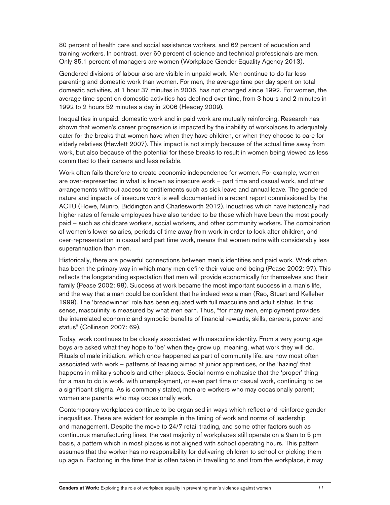80 percent of health care and social assistance workers, and 62 percent of education and training workers. In contrast, over 60 percent of science and technical professionals are men. Only 35.1 percent of managers are women (Workplace Gender Equality Agency 2013).

Gendered divisions of labour also are visible in unpaid work. Men continue to do far less parenting and domestic work than women. For men, the average time per day spent on total domestic activities, at 1 hour 37 minutes in 2006, has not changed since 1992. For women, the average time spent on domestic activities has declined over time, from 3 hours and 2 minutes in 1992 to 2 hours 52 minutes a day in 2006 (Headey 2009).

Inequalities in unpaid, domestic work and in paid work are mutually reinforcing. Research has shown that women's career progression is impacted by the inability of workplaces to adequately cater for the breaks that women have when they have children, or when they choose to care for elderly relatives (Hewlett 2007). This impact is not simply because of the actual time away from work, but also because of the potential for these breaks to result in women being viewed as less committed to their careers and less reliable.

Work often fails therefore to create economic independence for women. For example, women are over-represented in what is known as insecure work  $-$  part time and casual work, and other arrangements without access to entitlements such as sick leave and annual leave. The gendered nature and impacts of insecure work is well documented in a recent report commissioned by the ACTU (Howe, Munro, Biddington and Charlesworth 2012). Industries which have historically had higher rates of female employees have also tended to be those which have been the most poorly paid – such as childcare workers, social workers, and other community workers. The combination of women's lower salaries, periods of time away from work in order to look after children, and over-representation in casual and part time work, means that women retire with considerably less superannuation than men.

Historically, there are powerful connections between men's identities and paid work. Work often has been the primary way in which many men define their value and being (Pease 2002: 97). This reflects the longstanding expectation that men will provide economically for themselves and their family (Pease 2002: 98). Success at work became the most important success in a man's life, and the way that a man could be confident that he indeed was a man (Rao, Stuart and Kelleher 1999). The 'breadwinner' role has been equated with full masculine and adult status. In this sense, masculinity is measured by what men earn. Thus, "for many men, employment provides the interrelated economic and symbolic benefits of financial rewards, skills, careers, power and status" (Collinson 2007: 69).

Today, work continues to be closely associated with masculine identity. From a very young age boys are asked what they hope to 'be' when they grow up, meaning, what work they will do. Rituals of male initiation, which once happened as part of community life, are now most often associated with work - patterns of teasing aimed at junior apprentices, or the 'hazing' that happens in military schools and other places. Social norms emphasise that the 'proper' thing for a man to do is work, with unemployment, or even part time or casual work, continuing to be a significant stigma. As is commonly stated, men are workers who may occasionally parent; women are parents who may occasionally work.

Contemporary workplaces continue to be organised in ways which reflect and reinforce gender inequalities. These are evident for example in the timing of work and norms of leadership and management. Despite the move to 24/7 retail trading, and some other factors such as continuous manufacturing lines, the vast majority of workplaces still operate on a 9am to 5 pm basis, a pattern which in most places is not aligned with school operating hours. This pattern assumes that the worker has no responsibility for delivering children to school or picking them up again. Factoring in the time that is often taken in travelling to and from the workplace, it may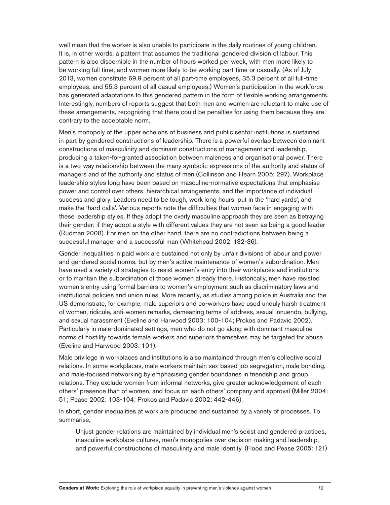well mean that the worker is also unable to participate in the daily routines of young children. It is, in other words, a pattern that assumes the traditional gendered division of labour. This pattern is also discernible in the number of hours worked per week, with men more likely to be working full time, and women more likely to be working part-time or casually. (As of July 2013, women constitute 69.9 percent of all part-time employees, 35.3 percent of all full-time employees, and 55.3 percent of all casual employees.) Women's participation in the workforce has generated adaptations to this gendered pattern in the form of flexible working arrangements. Interestingly, numbers of reports suggest that both men and women are reluctant to make use of these arrangements, recognizing that there could be penalties for using them because they are contrary to the acceptable norm.

Men's monopoly of the upper echelons of business and public sector institutions is sustained in part by gendered constructions of leadership. There is a powerful overlap between dominant constructions of masculinity and dominant constructions of management and leadership, producing a taken-for-granted association between maleness and organisational power. There is a two-way relationship between the many symbolic expressions of the authority and status of managers and of the authority and status of men (Collinson and Hearn 2005: 297). Workplace leadership styles long have been based on masculine-normative expectations that emphasise power and control over others, hierarchical arrangements, and the importance of individual success and glory. Leaders need to be tough, work long hours, put in the 'hard yards', and make the 'hard calls'. Various reports note the difficulties that women face in engaging with these leadership styles. If they adopt the overly masculine approach they are seen as betraying their gender; if they adopt a style with different values they are not seen as being a good leader (Rudman 2008). For men on the other hand, there are no contradictions between being a successful manager and a successful man (Whitehead 2002: 132-36).

Gender inequalities in paid work are sustained not only by unfair divisions of labour and power and gendered social norms, but by men's active maintenance of women's subordination. Men have used a variety of strategies to resist women's entry into their workplaces and institutions or to maintain the subordination of those women already there. Historically, men have resisted women's entry using formal barriers to women's employment such as discriminatory laws and institutional policies and union rules. More recently, as studies among police in Australia and the US demonstrate, for example, male superiors and co-workers have used unduly harsh treatment of women, ridicule, anti-women remarks, demeaning terms of address, sexual innuendo, bullying, and sexual harassment (Eveline and Harwood 2003: 100-104; Prokos and Padavic 2002). Particularly in male-dominated settings, men who do not go along with dominant masculine norms of hostility towards female workers and superiors themselves may be targeted for abuse (Eveline and Harwood 2003: 101).

Male privilege in workplaces and institutions is also maintained through men's collective social relations. In some workplaces, male workers maintain sex-based job segregation, male bonding, and male-focused networking by emphasising gender boundaries in friendship and group relations. They exclude women from informal networks, give greater acknowledgement of each others' presence than of women, and focus on each others' company and approval (Miller 2004: 51; Pease 2002: 103-104; Prokos and Padavic 2002: 442-446).

In short, gender inequalities at work are produced and sustained by a variety of processes. To summarise,

Unjust gender relations are maintained by individual men's sexist and gendered practices, masculine workplace cultures, men's monopolies over decision-making and leadership, and powerful constructions of masculinity and male identity. (Flood and Pease 2005: 121)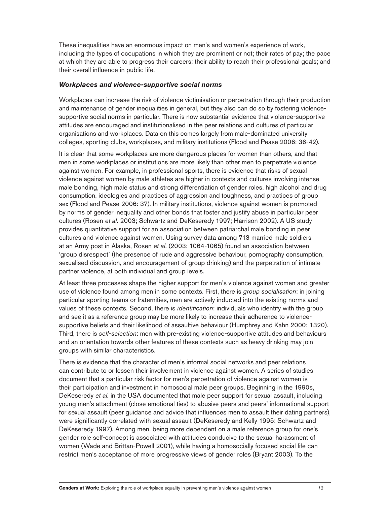These inequalities have an enormous impact on men's and women's experience of work, including the types of occupations in which they are prominent or not; their rates of pay; the pace at which they are able to progress their careers; their ability to reach their professional goals; and their overall influence in public life.

#### *Workplaces and violence-supportive social norms*

Workplaces can increase the risk of violence victimisation or perpetration through their production and maintenance of gender inequalities in general, but they also can do so by fostering violencesupportive social norms in particular. There is now substantial evidence that violence-supportive attitudes are encouraged and institutionalised in the peer relations and cultures of particular organisations and workplaces. Data on this comes largely from male-dominated university colleges, sporting clubs, workplaces, and military institutions (Flood and Pease 2006: 36-42).

It is clear that some workplaces are more dangerous places for women than others, and that men in some workplaces or institutions are more likely than other men to perpetrate violence against women. For example, in professional sports, there is evidence that risks of sexual violence against women by male athletes are higher in contexts and cultures involving intense male bonding, high male status and strong differentiation of gender roles, high alcohol and drug consumption, ideologies and practices of aggression and toughness, and practices of group sex (Flood and Pease 2006: 37). In military institutions, violence against women is promoted by norms of gender inequality and other bonds that foster and justify abuse in particular peer cultures (Rosen *et al.* 2003; Schwartz and DeKeseredy 1997; Harrison 2002). A US study provides quantitative support for an association between patriarchal male bonding in peer cultures and violence against women. Using survey data among 713 married male soldiers at an Army post in Alaska, Rosen *et al.* (2003: 1064-1065) found an association between 'group disrespect' (the presence of rude and aggressive behaviour, pornography consumption, sexualised discussion, and encouragement of group drinking) and the perpetration of intimate partner violence, at both individual and group levels.

At least three processes shape the higher support for men's violence against women and greater use of violence found among men in some contexts. First, there is *group socialisation*: in joining particular sporting teams or fraternities, men are actively inducted into the existing norms and values of these contexts. Second, there is *identification*: individuals who identify with the group and see it as a reference group may be more likely to increase their adherence to violencesupportive beliefs and their likelihood of assaultive behaviour (Humphrey and Kahn 2000: 1320). Third, there is *self-selection*: men with pre-existing violence-supportive attitudes and behaviours and an orientation towards other features of these contexts such as heavy drinking may join groups with similar characteristics.

There is evidence that the character of men's informal social networks and peer relations can contribute to or lessen their involvement in violence against women. A series of studies document that a particular risk factor for men's perpetration of violence against women is their participation and investment in homosocial male peer groups. Beginning in the 1990s, DeKeseredy et al. in the USA documented that male peer support for sexual assault, including young men's attachment (close emotional ties) to abusive peers and peers' informational support for sexual assault (peer guidance and advice that influences men to assault their dating partners), were significantly correlated with sexual assault (DeKeseredy and Kelly 1995; Schwartz and DeKeseredy 1997). Among men, being more dependent on a male reference group for one's gender role self-concept is associated with attitudes conducive to the sexual harassment of women (Wade and Brittan-Powell 2001), while having a homosocially focused social life can restrict men's acceptance of more progressive views of gender roles (Bryant 2003). To the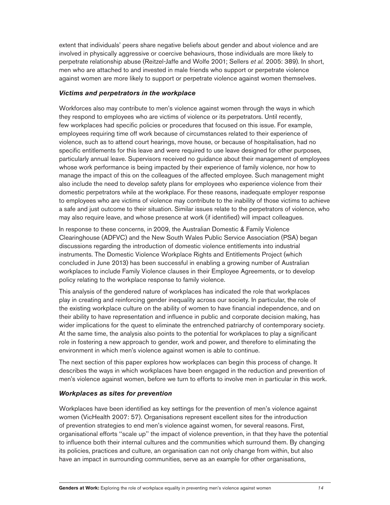extent that individuals' peers share negative beliefs about gender and about violence and are involved in physically aggressive or coercive behaviours, those individuals are more likely to perpetrate relationship abuse (Reitzel-Jaffe and Wolfe 2001; Sellers *et al.* 2005: 389). In short, men who are attached to and invested in male friends who support or perpetrate violence against women are more likely to support or perpetrate violence against women themselves.

### *Victims and perpetrators in the workplace*

Workforces also may contribute to men's violence against women through the ways in which they respond to employees who are victims of violence or its perpetrators. Until recently, few workplaces had specific policies or procedures that focused on this issue. For example, employees requiring time off work because of circumstances related to their experience of violence, such as to attend court hearings, move house, or because of hospitalisation, had no specific entitlements for this leave and were required to use leave designed for other purposes, particularly annual leave. Supervisors received no guidance about their management of employees whose work performance is being impacted by their experience of family violence, nor how to manage the impact of this on the colleagues of the affected employee. Such management might also include the need to develop safety plans for employees who experience violence from their domestic perpetrators while at the workplace. For these reasons, inadequate employer response to employees who are victims of violence may contribute to the inability of those victims to achieve a safe and just outcome to their situation. Similar issues relate to the perpetrators of violence, who may also require leave, and whose presence at work (if identified) will impact colleagues.

In response to these concerns, in 2009, the Australian Domestic & Family Violence Clearinghouse (ADFVC) and the New South Wales Public Service Association (PSA) began discussions regarding the introduction of domestic violence entitlements into industrial instruments. The Domestic Violence Workplace Rights and Entitlements Project (which concluded in June 2013) has been successful in enabling a growing number of Australian workplaces to include Family Violence clauses in their Employee Agreements, or to develop policy relating to the workplace response to family violence.

This analysis of the gendered nature of workplaces has indicated the role that workplaces play in creating and reinforcing gender inequality across our society. In particular, the role of the existing workplace culture on the ability of women to have financial independence, and on their ability to have representation and influence in public and corporate decision making, has wider implications for the quest to eliminate the entrenched patriarchy of contemporary society. At the same time, the analysis also points to the potential for workplaces to play a significant role in fostering a new approach to gender, work and power, and therefore to eliminating the environment in which men's violence against women is able to continue.

The next section of this paper explores how workplaces can begin this process of change. It describes the ways in which workplaces have been engaged in the reduction and prevention of men's violence against women, before we turn to efforts to involve men in particular in this work.

#### *Workplaces as sites for prevention*

Workplaces have been identified as key settings for the prevention of men's violence against women (VicHealth 2007: 57). Organisations represent excellent sites for the introduction of prevention strategies to end men's violence against women, for several reasons. First, organisational efforts ''scale up'' the impact of violence prevention, in that they have the potential to influence both their internal cultures and the communities which surround them. By changing its policies, practices and culture, an organisation can not only change from within, but also have an impact in surrounding communities, serve as an example for other organisations,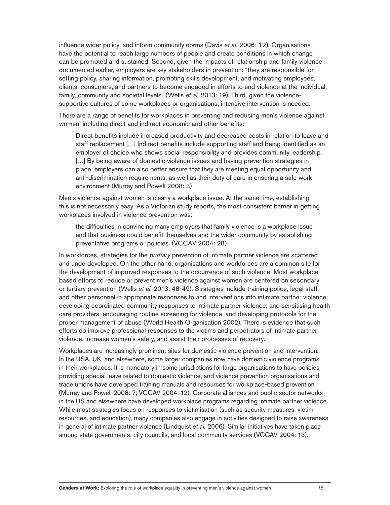influence wider policy, and inform community norms (Davis *et al.* 2006: 12). Organisations have the potential to reach large numbers of people and create conditions in which change can be promoted and sustained. Second, given the impacts of relationship and family violence documented earlier, employers are key stakeholders in prevention: "they are responsible for setting policy, sharing information, promoting skills development, and motivating employees, clients, consumers, and partners to become engaged in efforts to end violence at the individual, family, community and societal levels" (Wells *et al.* 2013: 19). Third, given the violencesupportive cultures of some workplaces or organisations, intensive intervention is needed.

There are a range of benefits for workplaces in preventing and reducing men's violence against women, including direct and indirect economic and other benefits:

Direct benefits include increased productivity and decreased costs in relation to leave and staff replacement […] Indirect benefits include supporting staff and being identified as an employer of choice who shows social responsibility and provides community leadership.  $\dots$ ] By being aware of domestic violence issues and having prevention strategies in place, employers can also better ensure that they are meeting equal opportunity and anti-discrimination requirements, as well as their duty of care in ensuring a safe work environment (Murray and Powell 2008: 3)

Men's violence against women is clearly a workplace issue. At the same time, establishing this is not necessarily easy. As a Victorian study reports, the most consistent barrier in getting workplaces involved in violence prevention was:

the difficulties in convincing many employers that family violence is a workplace issue and that business could benefit themselves and the wider community by establishing preventative programs or policies. (VCCAV 2004: 28)

In workforces, strategies for the *primary* prevention of intimate partner violence are scattered and underdeveloped. On the other hand, organisations and workforces are a common site for the development of improved responses to the occurrence of such violence. Most workplacebased efforts to reduce or prevent men's violence against women are centered on secondary or tertiary prevention (Wells *et al.* 2013: 48-49). Strategies include training police, legal staff, and other personnel in appropriate responses to and interventions into intimate partner violence; developing coordinated community responses to intimate partner violence; and sensitising health care providers, encouraging routine screening for violence, and developing protocols for the proper management of abuse (World Health Organisation 2002). There is evidence that such efforts do improve professional responses to the victims and perpetrators of intimate partner violence, increase women's safety, and assist their processes of recovery.

Workplaces are increasingly prominent sites for domestic violence prevention and intervention. In the USA, UK, and elsewhere, some larger companies now have domestic violence programs in their workplaces. It is mandatory in some jurisdictions for large organisations to have policies providing special leave related to domestic violence, and violence prevention organisations and trade unions have developed training manuals and resources for workplace-based prevention (Murray and Powell 2008: 7; VCCAV 2004: 12). Corporate alliances and public sector networks in the US and elsewhere have developed workplace programs regarding intimate partner violence. While most strategies focus on responses to victimisation (such as security measures, victim resources, and education), many companies also engage in activities designed to raise awareness in general of intimate partner violence (Lindquist *et al.* 2006). Similar initiatives have taken place among state governments, city councils, and local community services (VCCAV 2004: 13).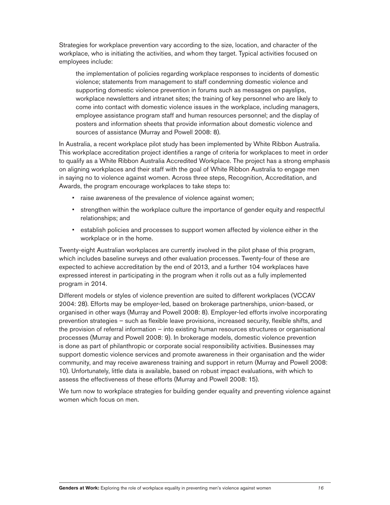Strategies for workplace prevention vary according to the size, location, and character of the workplace, who is initiating the activities, and whom they target. Typical activities focused on employees include:

the implementation of policies regarding workplace responses to incidents of domestic violence; statements from management to staff condemning domestic violence and supporting domestic violence prevention in forums such as messages on payslips, workplace newsletters and intranet sites; the training of key personnel who are likely to come into contact with domestic violence issues in the workplace, including managers, employee assistance program staff and human resources personnel; and the display of posters and information sheets that provide information about domestic violence and sources of assistance (Murray and Powell 2008: 8).

In Australia, a recent workplace pilot study has been implemented by White Ribbon Australia. This workplace accreditation project identifies a range of criteria for workplaces to meet in order to qualify as a White Ribbon Australia Accredited Workplace. The project has a strong emphasis on aligning workplaces and their staff with the goal of White Ribbon Australia to engage men in saying no to violence against women. Across three steps, Recognition, Accreditation, and Awards, the program encourage workplaces to take steps to:

- " raise awareness of the prevalence of violence against women;
- \* strengthen within the workplace culture the importance of gender equity and respectful relationships; and
- establish policies and processes to support women affected by violence either in the workplace or in the home.

Twenty-eight Australian workplaces are currently involved in the pilot phase of this program, which includes baseline surveys and other evaluation processes. Twenty-four of these are expected to achieve accreditation by the end of 2013, and a further 104 workplaces have expressed interest in participating in the program when it rolls out as a fully implemented program in 2014.

Different models or styles of violence prevention are suited to different workplaces (VCCAV 2004: 28). Efforts may be employer-led, based on brokerage partnerships, union-based, or organised in other ways (Murray and Powell 2008: 8). Employer-led efforts involve incorporating prevention strategies – such as flexible leave provisions, increased security, flexible shifts, and the provision of referral information  $-$  into existing human resources structures or organisational processes (Murray and Powell 2008: 9). In brokerage models, domestic violence prevention is done as part of philanthropic or corporate social responsibility activities. Businesses may support domestic violence services and promote awareness in their organisation and the wider community, and may receive awareness training and support in return (Murray and Powell 2008: 10). Unfortunately, little data is available, based on robust impact evaluations, with which to assess the effectiveness of these efforts (Murray and Powell 2008: 15).

We turn now to workplace strategies for building gender equality and preventing violence against women which focus on men.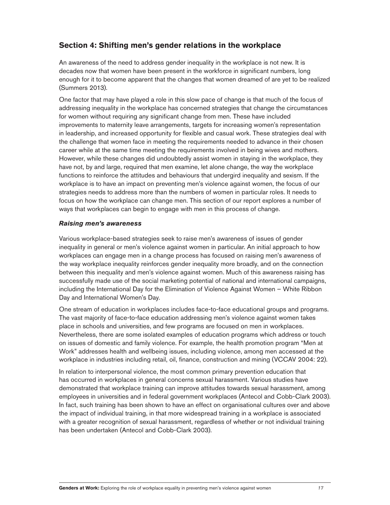# **Section 4: Shifting men's gender relations in the workplace**

An awareness of the need to address gender inequality in the workplace is not new. It is decades now that women have been present in the workforce in significant numbers, long enough for it to become apparent that the changes that women dreamed of are yet to be realized (Summers 2013).

One factor that may have played a role in this slow pace of change is that much of the focus of addressing inequality in the workplace has concerned strategies that change the circumstances for women without requiring any significant change from men. These have included improvements to maternity leave arrangements, targets for increasing women's representation in leadership, and increased opportunity for flexible and casual work. These strategies deal with the challenge that women face in meeting the requirements needed to advance in their chosen career while at the same time meeting the requirements involved in being wives and mothers. However, while these changes did undoubtedly assist women in staying in the workplace, they have not, by and large, required that men examine, let alone change, the way the workplace functions to reinforce the attitudes and behaviours that undergird inequality and sexism. If the workplace is to have an impact on preventing men's violence against women, the focus of our strategies needs to address more than the numbers of women in particular roles. It needs to focus on how the workplace can change men. This section of our report explores a number of ways that workplaces can begin to engage with men in this process of change.

#### *Raising men's awareness*

Various workplace-based strategies seek to raise men's awareness of issues of gender inequality in general or men's violence against women in particular. An initial approach to how workplaces can engage men in a change process has focused on raising men's awareness of the way workplace inequality reinforces gender inequality more broadly, and on the connection between this inequality and men's violence against women. Much of this awareness raising has successfully made use of the social marketing potential of national and international campaigns, including the International Day for the Elimination of Violence Against Women - White Ribbon Day and International Women's Day.

One stream of education in workplaces includes face-to-face educational groups and programs. The vast majority of face-to-face education addressing men's violence against women takes place in schools and universities, and few programs are focused on men in workplaces. Nevertheless, there are some isolated examples of education programs which address or touch on issues of domestic and family violence. For example, the health promotion program "Men at Work" addresses health and wellbeing issues, including violence, among men accessed at the workplace in industries including retail, oil, finance, construction and mining (VCCAV 2004: 22).

In relation to interpersonal violence, the most common primary prevention education that has occurred in workplaces in general concerns sexual harassment. Various studies have demonstrated that workplace training can improve attitudes towards sexual harassment, among employees in universities and in federal government workplaces (Antecol and Cobb-Clark 2003). In fact, such training has been shown to have an effect on organisational cultures over and above the impact of individual training, in that more widespread training in a workplace is associated with a greater recognition of sexual harassment, regardless of whether or not individual training has been undertaken (Antecol and Cobb-Clark 2003).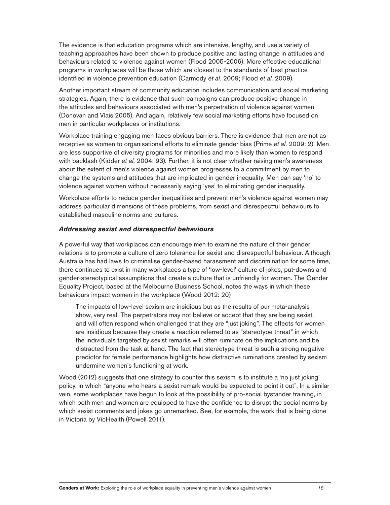The evidence is that education programs which are intensive, lengthy, and use a variety of teaching approaches have been shown to produce positive and lasting change in attitudes and behaviours related to violence against women (Flood 2005-2006). More effective educational programs in workplaces will be those which are closest to the standards of best practice identified in violence prevention education (Carmody *et al.* 2009; Flood *et al.* 2009).

Another important stream of community education includes communication and social marketing strategies. Again, there is evidence that such campaigns can produce positive change in the attitudes and behaviours associated with men's perpetration of violence against women (Donovan and Vlais 2005). And again, relatively few social marketing efforts have focused on men in particular workplaces or institutions.

Workplace training engaging men faces obvious barriers. There is evidence that men are not as receptive as women to organisational efforts to eliminate gender bias (Prime *et al.* 2009: 2). Men are less supportive of diversity programs for minorities and more likely than women to respond with backlash (Kidder *et al.* 2004: 93). Further, it is not clear whether raising men's awareness about the extent of men's violence against women progresses to a commitment by men to change the systems and attitudes that are implicated in gender inequality. Men can say 'no' to violence against women without necessarily saying 'yes' to eliminating gender inequality.

Workplace efforts to reduce gender inequalities and prevent men's violence against women may address particular dimensions of these problems, from sexist and disrespectful behaviours to established masculine norms and cultures.

#### *Addressing sexist and disrespectful behaviours*

A powerful way that workplaces can encourage men to examine the nature of their gender relations is to promote a culture of zero tolerance for sexist and disrespectful behaviour. Although Australia has had laws to criminalise gender-based harassment and discrimination for some time, there continues to exist in many workplaces a type of 'low-level' culture of jokes, put-downs and gender-stereotypical assumptions that create a culture that is unfriendly for women. The Gender Equality Project, based at the Melbourne Business School, notes the ways in which these behaviours impact women in the workplace (Wood 2012: 20)

The impacts of low-level sexism are insidious but as the results of our meta-analysis show, very real. The perpetrators may not believe or accept that they are being sexist, and will often respond when challenged that they are "just joking". The effects for women are insidious because they create a reaction referred to as "stereotype threat" in which the individuals targeted by sexist remarks will often ruminate on the implications and be distracted from the task at hand. The fact that stereotype threat is such a strong negative predictor for female performance highlights how distractive ruminations created by sexism undermine women's functioning at work.

Wood (2012) suggests that one strategy to counter this sexism is to institute a 'no just joking' policy, in which "anyone who hears a sexist remark would be expected to point it out". In a similar vein, some workplaces have begun to look at the possibility of pro-social bystander training, in which both men and women are equipped to have the confidence to disrupt the social norms by which sexist comments and jokes go unremarked. See, for example, the work that is being done in Victoria by VicHealth (Powell 2011).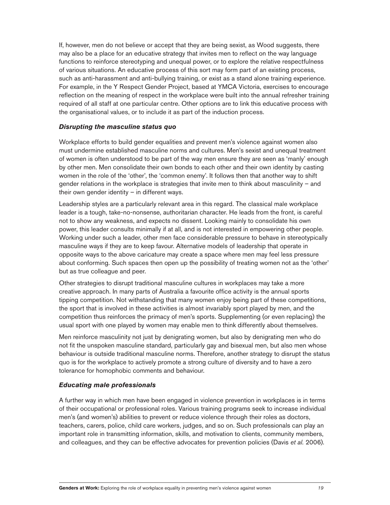If, however, men do not believe or accept that they are being sexist, as Wood suggests, there may also be a place for an educative strategy that invites men to reflect on the way language functions to reinforce stereotyping and unequal power, or to explore the relative respectfulness of various situations. An educative process of this sort may form part of an existing process, such as anti-harassment and anti-bullying training, or exist as a stand alone training experience. For example, in the Y Respect Gender Project, based at YMCA Victoria, exercises to encourage reflection on the meaning of respect in the workplace were built into the annual refresher training required of all staff at one particular centre. Other options are to link this educative process with the organisational values, or to include it as part of the induction process.

#### *Disrupting the masculine status quo*

Workplace efforts to build gender equalities and prevent men's violence against women also must undermine established masculine norms and cultures. Men's sexist and unequal treatment of women is often understood to be part of the way men ensure they are seen as 'manly' enough by other men. Men consolidate their own bonds to each other and their own identity by casting women in the role of the 'other', the 'common enemy'. It follows then that another way to shift gender relations in the workplace is strategies that invite men to think about masculinity  $-$  and their own gender identity  $-$  in different ways.

Leadership styles are a particularly relevant area in this regard. The classical male workplace leader is a tough, take-no-nonsense, authoritarian character. He leads from the front, is careful not to show any weakness, and expects no dissent. Looking mainly to consolidate his own power, this leader consults minimally if at all, and is not interested in empowering other people. Working under such a leader, other men face considerable pressure to behave in stereotypically masculine ways if they are to keep favour. Alternative models of leadership that operate in opposite ways to the above caricature may create a space where men may feel less pressure about conforming. Such spaces then open up the possibility of treating women not as the 'other' but as true colleague and peer.

Other strategies to disrupt traditional masculine cultures in workplaces may take a more creative approach. In many parts of Australia a favourite office activity is the annual sports tipping competition. Not withstanding that many women enjoy being part of these competitions, the sport that is involved in these activities is almost invariably sport played by men, and the competition thus reinforces the primacy of men's sports. Supplementing (or even replacing) the usual sport with one played by women may enable men to think differently about themselves.

Men reinforce masculinity not just by denigrating women, but also by denigrating men who do not fit the unspoken masculine standard, particularly gay and bisexual men, but also men whose behaviour is outside traditional masculine norms. Therefore, another strategy to disrupt the status quo is for the workplace to actively promote a strong culture of diversity and to have a zero tolerance for homophobic comments and behaviour.

#### *Educating male professionals*

A further way in which men have been engaged in violence prevention in workplaces is in terms of their occupational or professional roles. Various training programs seek to increase individual men's (and women's) abilities to prevent or reduce violence through their roles as doctors, teachers, carers, police, child care workers, judges, and so on. Such professionals can play an important role in transmitting information, skills, and motivation to clients, community members, and colleagues, and they can be effective advocates for prevention policies (Davis *et al.* 2006).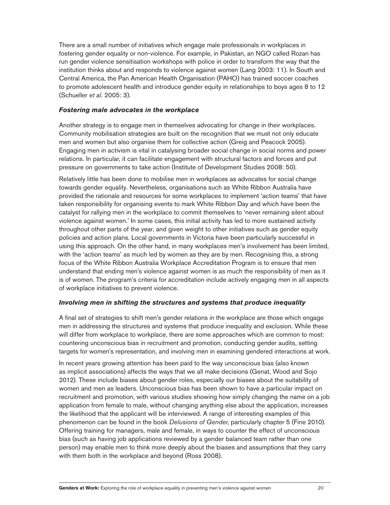There are a small number of initiatives which engage male professionals in workplaces in fostering gender equality or non-violence. For example, in Pakistan, an NGO called Rozan has run gender violence sensitisation workshops with police in order to transform the way that the institution thinks about and responds to violence against women (Lang 2003: 11). In South and Central America, the Pan American Health Organisation (PAHO) has trained soccer coaches to promote adolescent health and introduce gender equity in relationships to boys ages 8 to 12 (Schueller *et al.* 2005: 3).

#### *Fostering male advocates in the workplace*

Another strategy is to engage men in themselves advocating for change in their workplaces. Community mobilisation strategies are built on the recognition that we must not only educate men and women but also organise them for collective action (Greig and Peacock 2005). Engaging men in activism is vital in catalysing broader social change in social norms and power relations. In particular, it can facilitate engagement with structural factors and forces and put pressure on governments to take action (Institute of Development Studies 2008: 50).

Relatively little has been done to mobilise men in workplaces as advocates for social change towards gender equality. Nevertheless, organisations such as White Ribbon Australia have provided the rationale and resources for some workplaces to implement 'action teams' that have taken responsibility for organising events to mark White Ribbon Day and which have been the catalyst for rallying men in the workplace to commit themselves to 'never remaining silent about violence against women.' In some cases, this initial activity has led to more sustained activity throughout other parts of the year, and given weight to other initiatives such as gender equity policies and action plans. Local governments in Victoria have been particularly successful in using this approach. On the other hand, in many workplaces men's involvement has been limited, with the 'action teams' as much led by women as they are by men. Recognising this, a strong focus of the White Ribbon Australia Workplace Accreditation Program is to ensure that men understand that ending men's violence against women is as much the responsibility of men as it is of women. The program's criteria for accreditation include actively engaging men in all aspects of workplace initiatives to prevent violence.

## *Involving men in shifting the structures and systems that produce inequality*

A final set of strategies to shift men's gender relations in the workplace are those which engage men in addressing the structures and systems that produce inequality and exclusion. While these will differ from workplace to workplace, there are some approaches which are common to most: countering unconscious bias in recruitment and promotion, conducting gender audits, setting targets for women's representation, and involving men in examining gendered interactions at work.

In recent years growing attention has been paid to the way unconscious bias (also known as implicit associations) affects the ways that we all make decisions (Genat, Wood and Sojo 2012). These include biases about gender roles, especially our biases about the suitability of women and men as leaders. Unconscious bias has been shown to have a particular impact on recruitment and promotion, with various studies showing how simply changing the name on a job application from female to male, without changing anything else about the application, increases the likelihood that the applicant will be interviewed. A range of interesting examples of this phenomenon can be found in the book *Delusions of Gender*, particularly chapter 5 (Fine 2010). Offering training for managers, male and female, in ways to counter the effect of unconscious bias (such as having job applications reviewed by a gender balanced team rather than one person) may enable men to think more deeply about the biases and assumptions that they carry with them both in the workplace and beyond (Ross 2008).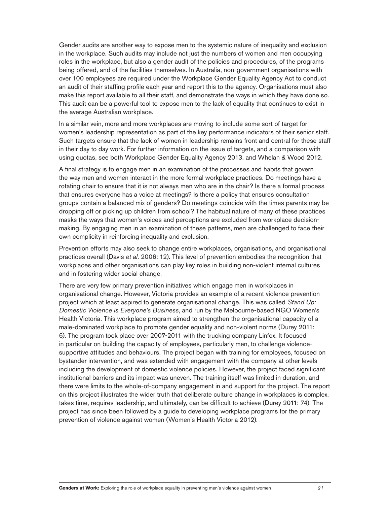Gender audits are another way to expose men to the systemic nature of inequality and exclusion in the workplace. Such audits may include not just the numbers of women and men occupying roles in the workplace, but also a gender audit of the policies and procedures, of the programs being offered, and of the facilities themselves. In Australia, non-government organisations with over 100 employees are required under the Workplace Gender Equality Agency Act to conduct an audit of their staffing profile each year and report this to the agency. Organisations must also make this report available to all their staff, and demonstrate the ways in which they have done so. This audit can be a powerful tool to expose men to the lack of equality that continues to exist in the average Australian workplace.

In a similar vein, more and more workplaces are moving to include some sort of target for women's leadership representation as part of the key performance indicators of their senior staff. Such targets ensure that the lack of women in leadership remains front and central for these staff in their day to day work. For further information on the issue of targets, and a comparison with using quotas, see both Workplace Gender Equality Agency 2013, and Whelan & Wood 2012.

A final strategy is to engage men in an examination of the processes and habits that govern the way men and women interact in the more formal workplace practices. Do meetings have a rotating chair to ensure that it is not always men who are in the chair? Is there a formal process that ensures everyone has a voice at meetings? Is there a policy that ensures consultation groups contain a balanced mix of genders? Do meetings coincide with the times parents may be dropping off or picking up children from school? The habitual nature of many of these practices masks the ways that women's voices and perceptions are excluded from workplace decisionmaking. By engaging men in an examination of these patterns, men are challenged to face their own complicity in reinforcing inequality and exclusion.

Prevention efforts may also seek to change entire workplaces, organisations, and organisational practices overall (Davis *et al.* 2006: 12). This level of prevention embodies the recognition that workplaces and other organisations can play key roles in building non-violent internal cultures and in fostering wider social change.

There are very few primary prevention initiatives which engage men in workplaces in organisational change. However, Victoria provides an example of a recent violence prevention project which at least aspired to generate organisational change. This was called *Stand Up:*  Domestic Violence is Everyone's Business, and run by the Melbourne-based NGO Women's Health Victoria. This workplace program aimed to strengthen the organisational capacity of a male-dominated workplace to promote gender equality and non-violent norms (Durey 2011: 6). The program took place over 2007-2011 with the trucking company Linfox. It focused in particular on building the capacity of employees, particularly men, to challenge violencesupportive attitudes and behaviours. The project began with training for employees, focused on bystander intervention, and was extended with engagement with the company at other levels including the development of domestic violence policies. However, the project faced significant institutional barriers and its impact was uneven. The training itself was limited in duration, and there were limits to the whole-of-company engagement in and support for the project. The report on this project illustrates the wider truth that deliberate culture change in workplaces is complex, takes time, requires leadership, and ultimately, can be difficult to achieve (Durey 2011: 74). The project has since been followed by a guide to developing workplace programs for the primary prevention of violence against women (Women's Health Victoria 2012).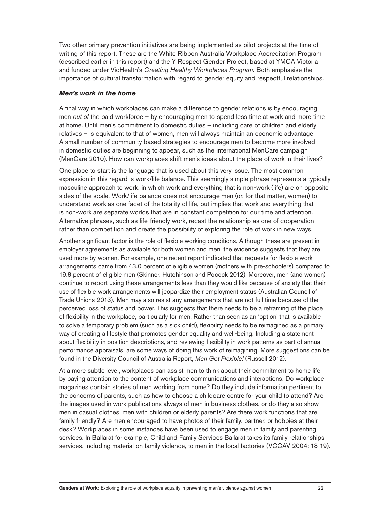Two other primary prevention initiatives are being implemented as pilot projects at the time of writing of this report. These are the White Ribbon Australia Workplace Accreditation Program (described earlier in this report) and the Y Respect Gender Project, based at YMCA Victoria and funded under VicHealth's Creating Healthy Workplaces Program. Both emphasise the importance of cultural transformation with regard to gender equity and respectful relationships.

#### *Men's work in the home*

A final way in which workplaces can make a difference to gender relations is by encouraging men *out of* the paid workforce – by encouraging men to spend less time at work and more time at home. Until men's commitment to domestic duties - including care of children and elderly relatives - is equivalent to that of women, men will always maintain an economic advantage. A small number of community based strategies to encourage men to become more involved in domestic duties are beginning to appear, such as the international MenCare campaign (MenCare 2010). How can workplaces shift men's ideas about the place of work in their lives?

One place to start is the language that is used about this very issue. The most common expression in this regard is work/life balance. This seemingly simple phrase represents a typically masculine approach to work, in which work and everything that is non-work (life) are on opposite sides of the scale. Work/life balance does not encourage men (or, for that matter, women) to understand work as one facet of the totality of life, but implies that work and everything that is non-work are separate worlds that are in constant competition for our time and attention. Alternative phrases, such as life-friendly work, recast the relationship as one of cooperation rather than competition and create the possibility of exploring the role of work in new ways.

Another significant factor is the role of flexible working conditions. Although these are present in employer agreements as available for both women and men, the evidence suggests that they are used more by women. For example, one recent report indicated that requests for flexible work arrangements came from 43.0 percent of eligible women (mothers with pre-schoolers) compared to 19.8 percent of eligible men (Skinner, Hutchinson and Pocock 2012). Moreover, men (and women) continue to report using these arrangements less than they would like because of anxiety that their use of flexible work arrangements will jeopardize their employment status (Australian Council of Trade Unions 2013). Men may also resist any arrangements that are not full time because of the perceived loss of status and power. This suggests that there needs to be a reframing of the place of flexibility in the workplace, particularly for men. Rather than seen as an 'option' that is available to solve a temporary problem (such as a sick child), flexibility needs to be reimagined as a primary way of creating a lifestyle that promotes gender equality and well-being. Including a statement about flexibility in position descriptions, and reviewing flexibility in work patterns as part of annual performance appraisals, are some ways of doing this work of reimagining. More suggestions can be found in the Diversity Council of Australia Report, *Men Get Flexible!* (Russell 2012).

At a more subtle level, workplaces can assist men to think about their commitment to home life by paying attention to the content of workplace communications and interactions. Do workplace magazines contain stories of men working from home? Do they include information pertinent to the concerns of parents, such as how to choose a childcare centre for your child to attend? Are the images used in work publications always of men in business clothes, or do they also show men in casual clothes, men with children or elderly parents? Are there work functions that are family friendly? Are men encouraged to have photos of their family, partner, or hobbies at their desk? Workplaces in some instances have been used to engage men in family and parenting services. In Ballarat for example, Child and Family Services Ballarat takes its family relationships services, including material on family violence, to men in the local factories (VCCAV 2004: 18-19).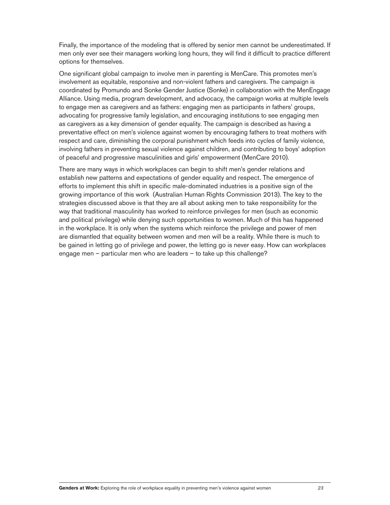Finally, the importance of the modeling that is offered by senior men cannot be underestimated. If men only ever see their managers working long hours, they will find it difficult to practice different options for themselves.

One significant global campaign to involve men in parenting is MenCare. This promotes men's involvement as equitable, responsive and non-violent fathers and caregivers. The campaign is coordinated by Promundo and Sonke Gender Justice (Sonke) in collaboration with the MenEngage Alliance. Using media, program development, and advocacy, the campaign works at multiple levels to engage men as caregivers and as fathers: engaging men as participants in fathers' groups, advocating for progressive family legislation, and encouraging institutions to see engaging men as caregivers as a key dimension of gender equality. The campaign is described as having a preventative effect on men's violence against women by encouraging fathers to treat mothers with respect and care, diminishing the corporal punishment which feeds into cycles of family violence, involving fathers in preventing sexual violence against children, and contributing to boys' adoption of peaceful and progressive masculinities and girls' empowerment (MenCare 2010).

There are many ways in which workplaces can begin to shift men's gender relations and establish new patterns and expectations of gender equality and respect. The emergence of efforts to implement this shift in specific male-dominated industries is a positive sign of the growing importance of this work(Australian Human Rights Commission 2013). The key to the strategies discussed above is that they are all about asking men to take responsibility for the way that traditional masculinity has worked to reinforce privileges for men (such as economic and political privilege) while denying such opportunities to women. Much of this has happened in the workplace. It is only when the systems which reinforce the privilege and power of men are dismantled that equality between women and men will be a reality. While there is much to be gained in letting go of privilege and power, the letting go is never easy. How can workplaces engage men – particular men who are leaders – to take up this challenge?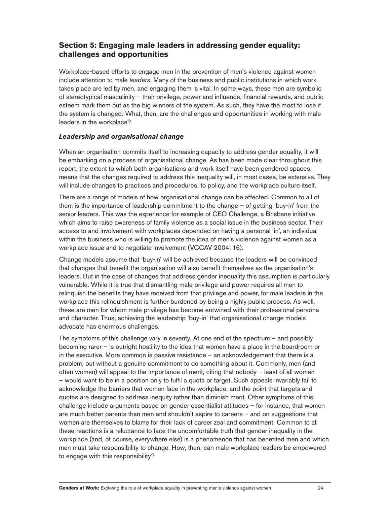# **Section 5: Engaging male leaders in addressing gender equality: challenges and opportunities**

Workplace-based efforts to engage men in the prevention of men's violence against women include attention to male *leaders*. Many of the business and public institutions in which work takes place are led by men, and engaging them is vital. In some ways, these men are symbolic of stereotypical masculinity – their privilege, power and influence, financial rewards, and public esteem mark them out as the big winners of the system. As such, they have the most to lose if the system is changed. What, then, are the challenges and opportunities in working with male leaders in the workplace?

## *Leadership and organisational change*

When an organisation commits itself to increasing capacity to address gender equality, it will be embarking on a process of organisational change. As has been made clear throughout this report, the extent to which both organisations and work itself have been gendered spaces, means that the changes required to address this inequality will, in most cases, be extensive. They will include changes to practices and procedures, to policy, and the workplace culture itself.

There are a range of models of how organisational change can be affected. Common to all of them is the importance of leadership commitment to the change  $-$  of getting 'buy-in' from the senior leaders. This was the experience for example of CEO Challenge, a Brisbane initiative which aims to raise awareness of family violence as a social issue in the business sector. Their access to and involvement with workplaces depended on having a personal 'in', an individual within the business who is willing to promote the idea of men's violence against women as a workplace issue and to negotiate involvement (VCCAV 2004: 16).

Change models assume that 'buy-in' will be achieved because the leaders will be convinced that changes that benefit the organisation will also benefit themselves as the organisation's leaders. But in the case of changes that address gender inequality this assumption is particularly vulnerable. While it is true that dismantling male privilege and power requires all men to relinquish the benefits they have received from that privilege and power, for male leaders in the workplace this relinquishment is further burdened by being a highly public process. As well, these are men for whom male privilege has become entwined with their professional persona and character. Thus, achieving the leadership 'buy-in' that organisational change models advocate has enormous challenges.

The symptoms of this challenge vary in severity. At one end of the spectrum  $-$  and possibly becoming rarer  $-$  is outright hostility to the idea that women have a place in the boardroom or in the executive. More common is passive resistance  $-$  an acknowledgement that there is a problem, but without a genuine commitment to do something about it. Commonly, men (and often women) will appeal to the importance of merit, citing that nobody – least of all women – would want to be in a position only to fulfil a quota or target. Such appeals invariably fail to acknowledge the barriers that women face in the workplace, and the point that targets and guotas are designed to address inequity rather than diminish merit. Other symptoms of this challenge include arguments based on gender essentialist attitudes  $-$  for instance, that women are much better parents than men and shouldn't aspire to careers – and on suggestions that women are themselves to blame for their lack of career zeal and commitment. Common to all these reactions is a reluctance to face the uncomfortable truth that gender inequality in the workplace (and, of course, everywhere else) is a phenomenon that has benefited men and which men must take responsibility to change. How, then, can male workplace leaders be empowered to engage with this responsibility?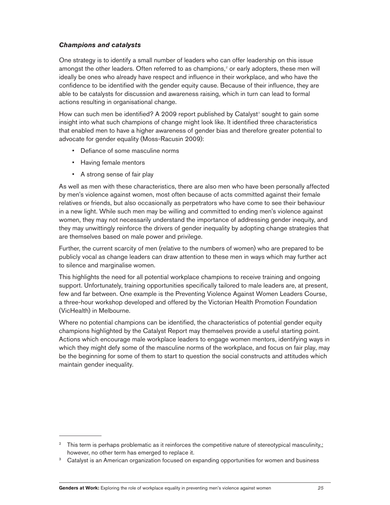## *Champions and catalysts*

One strategy is to identify a small number of leaders who can offer leadership on this issue amongst the other leaders. Often referred to as champions, $^\text{z}$  or early adopters, these men will ideally be ones who already have respect and influence in their workplace, and who have the confidence to be identified with the gender equity cause. Because of their influence, they are able to be catalysts for discussion and awareness raising, which in turn can lead to formal actions resulting in organisational change.

How can such men be identified? A 2009 report published by Catalyst<sup>3</sup> sought to gain some insight into what such champions of change might look like. It identified three characteristics that enabled men to have a higher awareness of gender bias and therefore greater potential to advocate for gender equality (Moss-Racusin 2009):

- Defiance of some masculine norms
- Having female mentors
- A strong sense of fair play

As well as men with these characteristics, there are also men who have been personally affected by men's violence against women, most often because of acts committed against their female relatives or friends, but also occasionally as perpetrators who have come to see their behaviour in a new light. While such men may be willing and committed to ending men's violence against women, they may not necessarily understand the importance of addressing gender inequity, and they may unwittingly reinforce the drivers of gender inequality by adopting change strategies that are themselves based on male power and privilege.

Further, the current scarcity of men (relative to the numbers of women) who are prepared to be publicly vocal as change leaders can draw attention to these men in ways which may further act to silence and marginalise women.

This highlights the need for all potential workplace champions to receive training and ongoing support. Unfortunately, training opportunities specifically tailored to male leaders are, at present, few and far between. One example is the Preventing Violence Against Women Leaders Course, a three-hour workshop developed and offered by the Victorian Health Promotion Foundation (VicHealth) in Melbourne.

Where no potential champions can be identified, the characteristics of potential gender equity champions highlighted by the Catalyst Report may themselves provide a useful starting point. Actions which encourage male workplace leaders to engage women mentors, identifying ways in which they might defy some of the masculine norms of the workplace, and focus on fair play, may be the beginning for some of them to start to question the social constructs and attitudes which maintain gender inequality.

<sup>&</sup>lt;sup>2</sup> This term is perhaps problematic as it reinforces the competitive nature of stereotypical masculinity,; however, no other term has emerged to replace it.

<sup>&</sup>lt;sup>3</sup> Catalyst is an American organization focused on expanding opportunities for women and business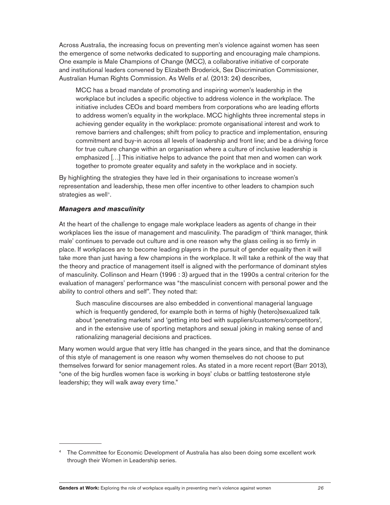Across Australia, the increasing focus on preventing men's violence against women has seen the emergence of some networks dedicated to supporting and encouraging male champions. One example is Male Champions of Change (MCC), a collaborative initiative of corporate and institutional leaders convened by Elizabeth Broderick, Sex Discrimination Commissioner, Australian Human Rights Commission. As Wells *et al.* (2013: 24) describes,

MCC has a broad mandate of promoting and inspiring women's leadership in the workplace but includes a specific objective to address violence in the workplace. The initiative includes CEOs and board members from corporations who are leading efforts to address women's equality in the workplace. MCC highlights three incremental steps in achieving gender equality in the workplace: promote organisational interest and work to remove barriers and challenges; shift from policy to practice and implementation, ensuring commitment and buy-in across all levels of leadership and front line; and be a driving force for true culture change within an organisation where a culture of inclusive leadership is emphasized […] This initiative helps to advance the point that men and women can work together to promote greater equality and safety in the workplace and in society.

By highlighting the strategies they have led in their organisations to increase women's representation and leadership, these men offer incentive to other leaders to champion such strategies as well<sup>4</sup>.

#### *Managers and masculinity*

At the heart of the challenge to engage male workplace leaders as agents of change in their workplaces lies the issue of management and masculinity. The paradigm of 'think manager, think male' continues to pervade out culture and is one reason why the glass ceiling is so firmly in place. If workplaces are to become leading players in the pursuit of gender equality then it will take more than just having a few champions in the workplace. It will take a rethink of the way that the theory and practice of management itself is aligned with the performance of dominant styles of masculinity. Collinson and Hearn (1996 : 3) argued that in the 1990s a central criterion for the evaluation of managers' performance was "the masculinist concern with personal power and the ability to control others and self". They noted that:

Such masculine discourses are also embedded in conventional managerial language which is frequently gendered, for example both in terms of highly (hetero)sexualized talk about 'penetrating markets' and 'getting into bed with suppliers/customers/competitors', and in the extensive use of sporting metaphors and sexual joking in making sense of and rationalizing managerial decisions and practices.

Many women would argue that very little has changed in the years since, and that the dominance of this style of management is one reason why women themselves do not choose to put themselves forward for senior management roles. As stated in a more recent report (Barr 2013), "one of the big hurdles women face is working in boys' clubs or battling testosterone style leadership; they will walk away every time."

<sup>&</sup>lt;sup>4</sup> The Committee for Economic Development of Australia has also been doing some excellent work through their Women in Leadership series.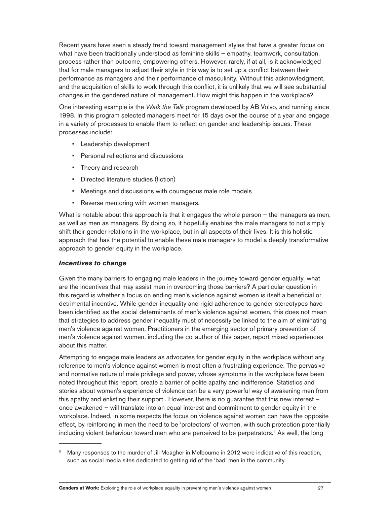Recent years have seen a steady trend toward management styles that have a greater focus on what have been traditionally understood as feminine skills  $-$  empathy, teamwork, consultation, process rather than outcome, empowering others. However, rarely, if at all, is it acknowledged that for male managers to adjust their style in this way is to set up a conflict between their performance as managers and their performance of masculinity. Without this acknowledgment, and the acquisition of skills to work through this conflict, it is unlikely that we will see substantial changes in the gendered nature of management. How might this happen in the workplace?

One interesting example is the *Walk the Talk* program developed by AB Volvo, and running since 1998. In this program selected managers meet for 15 days over the course of a year and engage in a variety of processes to enable them to reflect on gender and leadership issues. These processes include:

- Leadership development
- Personal reflections and discussions
- Theory and research
- Directed literature studies (fiction)
- Meetings and discussions with courageous male role models
- Reverse mentoring with women managers.

What is notable about this approach is that it engages the whole person  $-$  the managers as men, as well as men as managers. By doing so, it hopefully enables the male managers to not simply shift their gender relations in the workplace, but in all aspects of their lives. It is this holistic approach that has the potential to enable these male managers to model a deeply transformative approach to gender equity in the workplace.

#### *Incentives to change*

Given the many barriers to engaging male leaders in the journey toward gender equality, what are the incentives that may assist men in overcoming those barriers? A particular question in this regard is whether a focus on ending men's violence against women is itself a beneficial or detrimental incentive. While gender inequality and rigid adherence to gender stereotypes have been identified as the social determinants of men's violence against women, this does not mean that strategies to address gender inequality must of necessity be linked to the aim of eliminating men's violence against women. Practitioners in the emerging sector of primary prevention of men's violence against women, including the co-author of this paper, report mixed experiences about this matter.

Attempting to engage male leaders as advocates for gender equity in the workplace without any reference to men's violence against women is most often a frustrating experience. The pervasive and normative nature of male privilege and power, whose symptoms in the workplace have been noted throughout this report, create a barrier of polite apathy and indifference. Statistics and stories about women's experience of violence can be a very powerful way of awakening men from this apathy and enlisting their support . However, there is no guarantee that this new interest once awakened  $-$  will translate into an equal interest and commitment to gender equity in the workplace. Indeed, in some respects the focus on violence against women can have the opposite effect, by reinforcing in men the need to be 'protectors' of women, with such protection potentially including violent behaviour toward men who are perceived to be perpetrators.<sup>5</sup> As well, the long

<sup>&</sup>lt;sup>5</sup> Many responses to the murder of Jill Meagher in Melbourne in 2012 were indicative of this reaction, such as social media sites dedicated to getting rid of the 'bad' men in the community.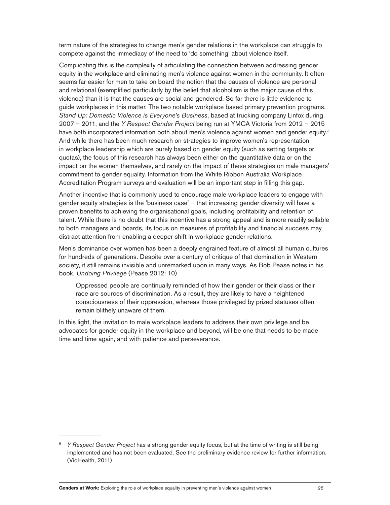term nature of the strategies to change men's gender relations in the workplace can struggle to compete against the immediacy of the need to 'do something' about violence itself.

Complicating this is the complexity of articulating the connection between addressing gender equity in the workplace and eliminating men's violence against women in the community. It often seems far easier for men to take on board the notion that the causes of violence are personal and relational (exemplified particularly by the belief that alcoholism is the major cause of this violence) than it is that the causes are social and gendered. So far there is little evidence to guide workplaces in this matter. The two notable workplace based primary prevention programs, Stand Up: Domestic Violence is Everyone's Business, based at trucking company Linfox during 2007 – 2011, and the *Y Respect Gender Project* being run at YMCA Victoria from 2012 – 2015 have both incorporated information both about men's violence against women and gender equity.<sup>6</sup> And while there has been much research on strategies to improve women's representation in workplace leadership which are purely based on gender equity (such as setting targets or quotas), the focus of this research has always been either on the quantitative data or on the impact on the women themselves, and rarely on the impact of these strategies on male managers' commitment to gender equality. Information from the White Ribbon Australia Workplace Accreditation Program surveys and evaluation will be an important step in filling this gap.

Another incentive that is commonly used to encourage male workplace leaders to engage with gender equity strategies is the 'business case' - that increasing gender diversity will have a proven benefits to achieving the organisational goals, including profitability and retention of talent. While there is no doubt that this incentive has a strong appeal and is more readily sellable to both managers and boards, its focus on measures of profitability and financial success may distract attention from enabling a deeper shift in workplace gender relations.

Men's dominance over women has been a deeply engrained feature of almost all human cultures for hundreds of generations. Despite over a century of critique of that domination in Western society, it still remains invisible and unremarked upon in many ways. As Bob Pease notes in his book, *Undoing Privilege* (Pease 2012: 10)

Oppressed people are continually reminded of how their gender or their class or their race are sources of discrimination. As a result, they are likely to have a heightened consciousness of their oppression, whereas those privileged by prized statuses often remain blithely unaware of them.

In this light, the invitation to male workplace leaders to address their own privilege and be advocates for gender equity in the workplace and beyond, will be one that needs to be made time and time again, and with patience and perseverance.

*Y Respect Gender Project* has a strong gender equity focus, but at the time of writing is still being implemented and has not been evaluated. See the preliminary evidence review for further information. (VicHealth, 2011)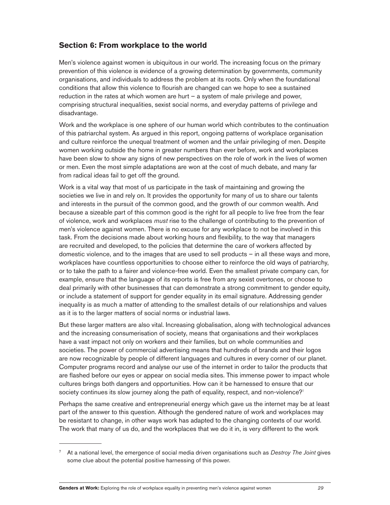# **Section 6: From workplace to the world**

Men's violence against women is ubiquitous in our world. The increasing focus on the primary prevention of this violence is evidence of a growing determination by governments, community organisations, and individuals to address the problem at its roots. Only when the foundational conditions that allow this violence to flourish are changed can we hope to see a sustained reduction in the rates at which women are hurt  $-$  a system of male privilege and power, comprising structural inequalities, sexist social norms, and everyday patterns of privilege and disadvantage.

Work and the workplace is one sphere of our human world which contributes to the continuation of this patriarchal system. As argued in this report, ongoing patterns of workplace organisation and culture reinforce the unequal treatment of women and the unfair privileging of men. Despite women working outside the home in greater numbers than ever before, work and workplaces have been slow to show any signs of new perspectives on the role of work in the lives of women or men. Even the most simple adaptations are won at the cost of much debate, and many far from radical ideas fail to get off the ground.

Work is a vital way that most of us participate in the task of maintaining and growing the societies we live in and rely on. It provides the opportunity for many of us to share our talents and interests in the pursuit of the common good, and the growth of our common wealth. And because a sizeable part of this common good is the right for all people to live free from the fear of violence, work and workplaces *must* rise to the challenge of contributing to the prevention of men's violence against women. There is no excuse for any workplace to not be involved in this task. From the decisions made about working hours and flexibility, to the way that managers are recruited and developed, to the policies that determine the care of workers affected by domestic violence, and to the images that are used to sell products  $-$  in all these ways and more, workplaces have countless opportunities to choose either to reinforce the old ways of patriarchy, or to take the path to a fairer and violence-free world. Even the smallest private company can, for example, ensure that the language of its reports is free from any sexist overtones, or choose to deal primarily with other businesses that can demonstrate a strong commitment to gender equity, or include a statement of support for gender equality in its email signature. Addressing gender inequality is as much a matter of attending to the smallest details of our relationships and values as it is to the larger matters of social norms or industrial laws.

But these larger matters are also vital. Increasing globalisation, along with technological advances and the increasing consumerisation of society, means that organisations and their workplaces have a vast impact not only on workers and their families, but on whole communities and societies. The power of commercial advertising means that hundreds of brands and their logos are now recognizable by people of different languages and cultures in every corner of our planet. Computer programs record and analyse our use of the internet in order to tailor the products that are flashed before our eyes or appear on social media sites. This immense power to impact whole cultures brings both dangers and opportunities. How can it be harnessed to ensure that our society continues its slow journey along the path of equality, respect, and non-violence?<sup>7</sup>

Perhaps the same creative and entrepreneurial energy which gave us the internet may be at least part of the answer to this question. Although the gendered nature of work and workplaces may be resistant to change, in other ways work has adapted to the changing contexts of our world. The work that many of us do, and the workplaces that we do it in, is very different to the work

<sup>7</sup> At a national level, the emergence of social media driven organisations such as *Destroy The Joint* gives some clue about the potential positive harnessing of this power.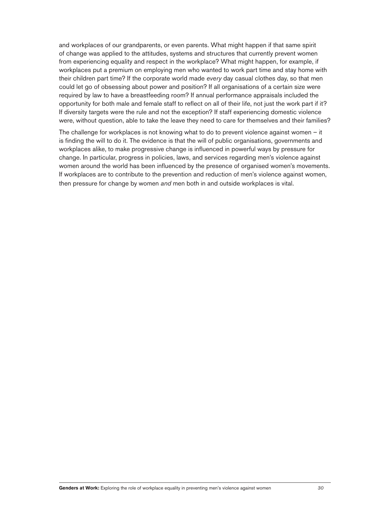and workplaces of our grandparents, or even parents. What might happen if that same spirit of change was applied to the attitudes, systems and structures that currently prevent women from experiencing equality and respect in the workplace? What might happen, for example, if workplaces put a premium on employing men who wanted to work part time and stay home with their children part time? If the corporate world made *every* day casual clothes day, so that men could let go of obsessing about power and position? If all organisations of a certain size were required by law to have a breastfeeding room? If annual performance appraisals included the opportunity for both male and female staff to reflect on all of their life, not just the work part if it? If diversity targets were the rule and not the exception? If staff experiencing domestic violence were, without question, able to take the leave they need to care for themselves and their families?

The challenge for workplaces is not knowing what to do to prevent violence against women  $-$  it is finding the will to do it. The evidence is that the will of public organisations, governments and workplaces alike, to make progressive change is influenced in powerful ways by pressure for change. In particular, progress in policies, laws, and services regarding men's violence against women around the world has been influenced by the presence of organised women's movements. If workplaces are to contribute to the prevention and reduction of men's violence against women, then pressure for change by women *and* men both in and outside workplaces is vital.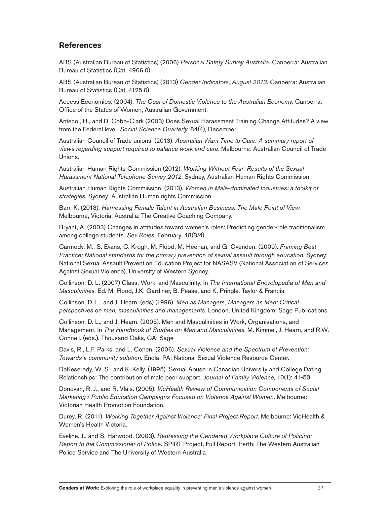# **References**

ABS (Australian Bureau of Statistics) (2006) *Personal Safety Survey Australia*. Canberra: Australian Bureau of Statistics (Cat. 4906.0).

ABS (Australian Bureau of Statistics) (2013) *Gender Indicators, August 2013.* Canberra: Australian Bureau of Statistics (Cat. 4125.0).

Access Economics. (2004). *The Cost of Domestic Violence to the Australian Economy.* Canberra: Office of the Status of Women. Australian Government.

Antecol, H., and D. Cobb-Clark (2003) Does Sexual Harassment Training Change Attitudes? A view from the Federal level. Soc*ial Science Quarterly*, 84(4), December.

Australian Council of Trade unions. (2013). *Australian Want Time to Care: A summary report of views regarding support required to balance work and care.* Melbourne: Australian Council of Trade Unions.

Australian Human Rights Commission (2012). *Working Without Fear: Results of the Sexual* Harassment National Telephone Survey 2012. Sydney, Australian Human Rights Commission.

Australian Human Rights Commission. (2013). *Women in Male-dominated Industries: a toolkit of* strategies. Sydney: Australian Human rights Commission.

Barr, K. (2013). *Harnessing Female Talent in Australian Business: The Male Point of View*. Melbourne, Victoria, Australia: The Creative Coaching Company.

Bryant, A. (2003) Changes in attitudes toward women's roles: Predicting gender-role traditionalism among college students. *Sex Roles*, February, 48(3/4).

Carmody, M., S. Evans, C. Krogh, M. Flood, M. Heenan, and G. Ovenden. (2009). Framing Best *Practice: National standards for the primary prevention of sexual assault through education. Sydney:* National Sexual Assault Prevention Education Project for NASASV (National Association of Services Against Sexual Violence), University of Western Sydney.

Collinson, D. L. (2007) Class, Work, and Masculinity. In *The International Encyclopedia of Men and* Masculinities. Ed. M. Flood, J.K. Gardiner, B. Pease, and K. Pringle. Taylor & Francis.

Collinson, D. L., and J. Hearn. (eds) (1996). *Men as Managers, Managers as Men: Critical perspectives on men, masculinities and managements.* London, United Kingdom: Sage Publications.

Collinson, D. L., and J. Hearn. (2005). Men and Masculinities in Work, Organisations, and Management. In *The Handbook of Studies on Men and Masculinities*. M. Kimmel, J. Hearn, and R.W. Connell. (eds.). Thousand Oaks, CA: Sage

Davis, R., L.F. Parks, and L. Cohen. (2006). Se*xual Violence and the Spectrum of Prevention:* Towards a community solution. Enola, PA: National Sexual Violence Resource Center.

DeKeseredy, W. S., and K. Kelly. (1995). Sexual Abuse in Canadian University and College Dating Relationships: The contribution of male peer support. *Journal of Family Violence* 

Donovan, R. J., and R. Vlais. (2005). *VicHealth Review of Communication Components of Social Marketing / Public Education Campaigns Focused on Violence Against Women. Melbourne:* Victorian Health Promotion Foundation.

Durey, R. (2011). *Working Together Against Violence: Final Project Report*. Melbourne: VicHealth & Women's Health Victoria.

Eveline, J., and S. Harwood. (2003). *Redressing the Gendered Workplace Culture of Policing:* Report to the Commissioner of Police. SPIRT Project, Full Report. Perth: The Western Australian Police Service and The University of Western Australia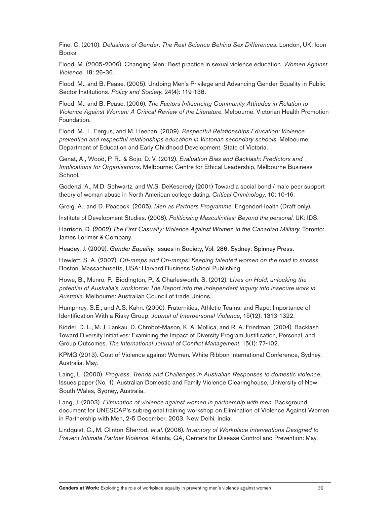Fine, C. (2010). *Delusions of Gender: The Real Science Behind Sex Differences*. London, UK: Icon Books.

Flood, M. (2005-2006). Changing Men: Best practice in sexual violence education. *Women Against Violence*

Flood, M., and B. Pease. (2005). Undoing Men's Privilege and Advancing Gender Equality in Public Sector Institutions. *Policy and Society*, 24(4): 119-138.

Flood, M., and B. Pease. (2006). *The Factors Influencing Community Attitudes in Relation to* Violence Against Women: A Critical Review of the Literature. Melbourne, Victorian Health Promotion Foundation.

Flood, M., L. Fergus, and M. Heenan. (2009). *Respectful Relationships Education: Violence prevention and respectful relationships education in Victorian secondary schools*. Melbourne: Department of Education and Early Childhood Development, State of Victoria.

Genat, A., Wood, P. R., & Sojo, D. V. (2012). *Evaluation Bias and Backlash: Predictors and Implications for Organisations.* Melbourne: Centre for Ethical Leadership, Melbourne Business School.

Godenzi, A., M.D. Schwartz, and W.S. DeKeseredy (2001) Toward a social bond / male peer support theory of woman abuse in North American college dating. *Critical Criminology*

Greig, A., and D. Peacock. (2005). *Men as Partners Programme.* EngenderHealth (Draft only).

Institute of Development Studies. (2008). *Politicising Masculinities: Beyond the personal*. UK: IDS.

Harrison, D. (2002) *The First Casualty: Violence Against Women in the Canadian Military*. Toronto: James Lorimer & Company.

Headey, J. (2009). *Gender Equality*. Issues in Society, Vol. 286, Sydney: Spinney Press.

Hewlett, S. A. (2007). Off-ramps and On-ramps: Keeping talented women on the road to sucess. Boston, Massachusetts, USA: Harvard Business School Publishing.

Howe, B., Munro, P., Biddington, P., & Charlesworth, S. (2012). *Lives on Hold: unlocking the potential of Australia's workforce: The Report into the independent inquiry into insecure work in Australia*. Melbourne: Australian Council of trade Unions.

Humphrey, S.E., and A.S. Kahn. (2000). Fraternities, Athletic Teams, and Rape: Importance of Identification With a Risky Group. *Journal of Interpersonal Violence* 

Kidder, D. L., M. J. Lankau, D. Chrobot-Mason, K. A. Mollica, and R. A. Friedman. (2004). Backlash Toward Diversity Initiatives: Examining the Impact of Diversity Program Justification, Personal, and Group Outcomes. *The International Journal of Conflict Management*, 15(1): 77-102.

KPMG (2013). Cost of Violence against Women. White Ribbon International Conference, Sydney, Australia, May.

Laing, L. (2000). *Progress, Trends and Challenges in Australian Responses to domestic violence*. Issues paper (No. 1), Australian Domestic and Family Violence Clearinghouse, University of New South Wales, Sydney, Australia.

Lang, J. (2003). *Elimination of violence against women in partnership with men*. Background document for UNESCAP's subregional training workshop on Elimination of Violence Against Women in Partnership with Men, 2-5 December, 2003, New Delhi, India.

Lindquist, C., M. Clinton-Sherrod, e*t al.* (2006). Inventory of Workplace Interventions Designed to *Prevent Intimate Partner Violence*. Atlanta, GA, Centers for Disease Control and Prevention: May.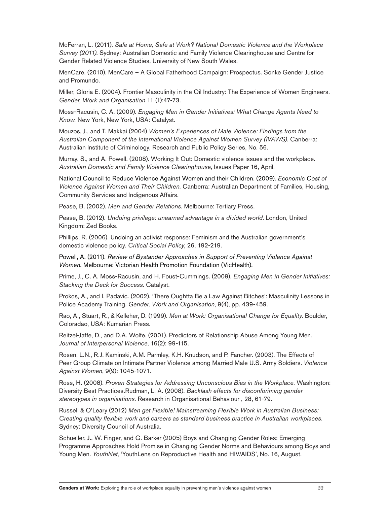McFerran, L. (2011). Safe at Home, Safe at Work? National Domestic Violence and the Workplace *Survey (2011)*. Sydney: Australian Domestic and Family Violence Clearinghouse and Centre for Gender Related Violence Studies, University of New South Wales.

MenCare. (2010). MenCare – A Global Fatherhood Campaign: Prospectus. Sonke Gender Justice and Promundo.

Miller, Gloria E. (2004). Frontier Masculinity in the Oil Industry: The Experience of Women Engineers. *Gender, Work and Organisation* 

Moss-Racusin, C. A. (2009). *Engaging Men in Gender Initiatives: What Change Agents Need to* Know. New York, New York, USA: Catalyst.

Mouzos, J., and T. Makkai (2004) *Women's Experiences of Male Violence: Findings from the Australian Component of the International Violence Against Women Survey (IVAWS)*. Canberra: Australian Institute of Criminology, Research and Public Policy Series, No. 56.

Murray, S., and A. Powell. (2008). Working It Out: Domestic violence issues and the workplace. Australian Domestic and Family Violence Clearinghouse, Issues Paper 16, April.

National Council to Reduce Violence Against Women and their Children. (2009). *Economic Cost of* Violence Against Women and Their Children. Canberra: Australian Department of Families, Housing, Community Services and Indigenous Affairs.

Pease, B. (2002). Men and Gender Relations. Melbourne: Tertiary Press.

Pease, B. (2012). *Undoing privilege: unearned advantage in a divided world*. London, United Kingdom: Zed Books.

Phillips, R. (2006). Undoing an activist response: Feminism and the Australian government's domestic violence policy. *Critical Social Policy*

Powell, A. (2011). *Review of Bystander Approaches in Support of Preventing Violence Against* Women. Melbourne: Victorian Health Promotion Foundation (VicHealth).

Prime, J., C. A. Moss-Racusin, and H. Foust-Cummings. (2009). *Engaging Men in Gender Initiatives: Stacking the Deck for Success*. Catalyst.

Prokos, A., and I. Padavic. (2002). 'There Oughtta Be a Law Against Bitches': Masculinity Lessons in Police Academy Training. *Gender, Work and Organisation*, 9(4), pp. 439-459.

Rao, A., Stuart, R., & Kelleher, D. (1999). *Men at Work: Organisational Change for Equality*. Boulder, Coloradao, USA: Kumarian Press.

Reitzel-Jaffe, D., and D.A. Wolfe. (2001). Predictors of Relationship Abuse Among Young Men. *Journal of Interpersonal Violence* 

Rosen, L.N., R.J. Kaminski, A.M. Parmley, K.H. Knudson, and P. Fancher. (2003). The Effects of **1FFG FROUGHT FOOT ISSUES IN SPACE CONTROVER THE POST OF SPACE CONTRACT POST** Control SCRIPT SCRIPS Control SNAP SOLDIES. Violence *Against Women* 

Ross, H. (2008). *Proven Strategies for Addressing Unconscious Bias in the Workplace*. Washington: Diversity Best Practices.Rudman, L. A. (2008). *Backlash effects for disconforiming gender* stereotypes in organisations. Research in Organisational Behaviour, 28, 61-79.

Russell & O'Leary (2012) *Men get Flexible! Mainstreaming Flexible Work in Australian Business: Creating quality flexible work and careers as standard business practice in Australian workplaces*. Sydney: Diversity Council of Australia.

Schueller, J., W. Finger, and G. Barker (2005) Boys and Changing Gender Roles: Emerging Programme Approaches Hold Promise in Changing Gender Norms and Behaviours among Boys and Young Men. YouthNet, 'YouthLens on Reproductive Health and HIV/AIDS', No. 16, August.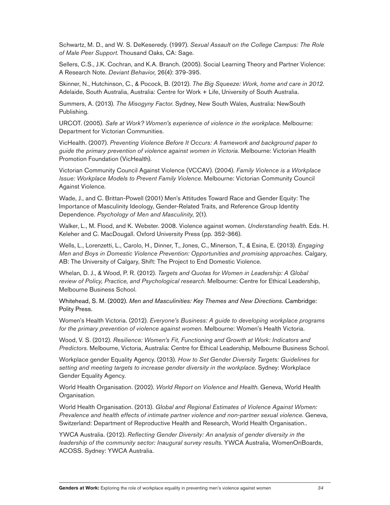Schwartz, M. D., and W. S. DeKeseredy. (1997). *Sexual Assault on the College Campus: The Role* of Male Peer Support. Thousand Oaks, CA: Sage.

Sellers, C.S., J.K. Cochran, and K.A. Branch. (2005). Social Learning Theory and Partner Violence: A Research Note. *Deviant Behavior* 

Skinner, N., Hutchinson, C., & Pocock, B. (2012). *The Big Squeeze: Work, home and care in 2012*. Adelaide, South Australia, Australia: Centre for Work + Life, University of South Australia.

Summers, A. (2013). *The Misogyny Factor*. Sydney, New South Wales, Australia: NewSouth Publishing.

URCOT. (2005). *Safe at Work? Women's experience of violence in the workplace*. Melbourne: Department for Victorian Communities.

VicHealth. (2007). *Preventing Violence Before It Occurs: A framework and background paper to guide the primary prevention of violence against women in Victoria*. Melbourne: Victorian Health Promotion Foundation (VicHealth).

Victorian Community Council Against Violence (VCCAV). (2004). *Family Violence is a Workplace Issue: Workplace Models to Prevent Family Violence*. Melbourne: Victorian Community Council Against Violence.

Wade, J., and C. Brittan-Powell (2001) Men's Attitudes Toward Race and Gender Equity: The Importance of Masculinity Ideology, Gender-Related Traits, and Reference Group Identity Dependence. Psychology of Men and Masculinity, 2(1).

Walker, L., M. Flood, and K. Webster. 2008. Violence against women. Understanding health. Eds. H. Keleher and C. MacDougall. Oxford University Press (pp. 352-366).

Wells, L., Lorenzetti, L., Carolo, H., Dinner, T., Jones, C., Minerson, T., & Esina, E. (2013). *Engaging Men and Boys in Domestic Violence Prevention: Opportunities and promising approaches.* Calgary, AB: The University of Calgary, Shift: The Project to End Domestic Violence.

Whelan, D. J., & Wood, P. R. (2012). *Targets and Quotas for Women in Leadership: A Global review of Policy, Practice, and Psychological research.* Melbourne: Centre for Ethical Leadership, Melbourne Business School.

Whitehead, S. M. (2002). *Men and Masculinities: Key Themes and New Directions*. Cambridge: Polity Press.

Women's Health Victoria. (2012). *Everyone's Business: A guide to developing workplace programs for the primary prevention of violence against women*. Melbourne: Women's Health Victoria.

Wood, V. S. (2012). Resilience: Women's Fit, Functioning and Growth at Work: Indicators and *Predictors*. Melbourne, Victoria, Australia: Centre for Ethical Leadership, Melbourne Business School.

Workplace gender Equality Agency. (2013). *How to Set Gender Diversity Targets: Guidelines for* setting and meeting targets to increase gender diversity in the workplace. Sydney: Workplace Gender Equality Agency.

World Health Organisation. (2002). *World Report on Violence and Health*. Geneva, World Health Organisation.

World Health Organisation. (2013). G*lobal and Regional Estimates of Violence Against Women: Prevalence and health effects of intimate partner violence and non-partner sexual violence*. Geneva, Switzerland: Department of Reproductive Health and Research, World Health Organisation..

YWCA Australia. (2012). *Reflecting Gender Diversity: An analysis of gender diversity in the leadership of the community sector: Inaugural survey results*. YWCA Australia, WomenOnBoards, ACOSS. Sydney: YWCA Australia.